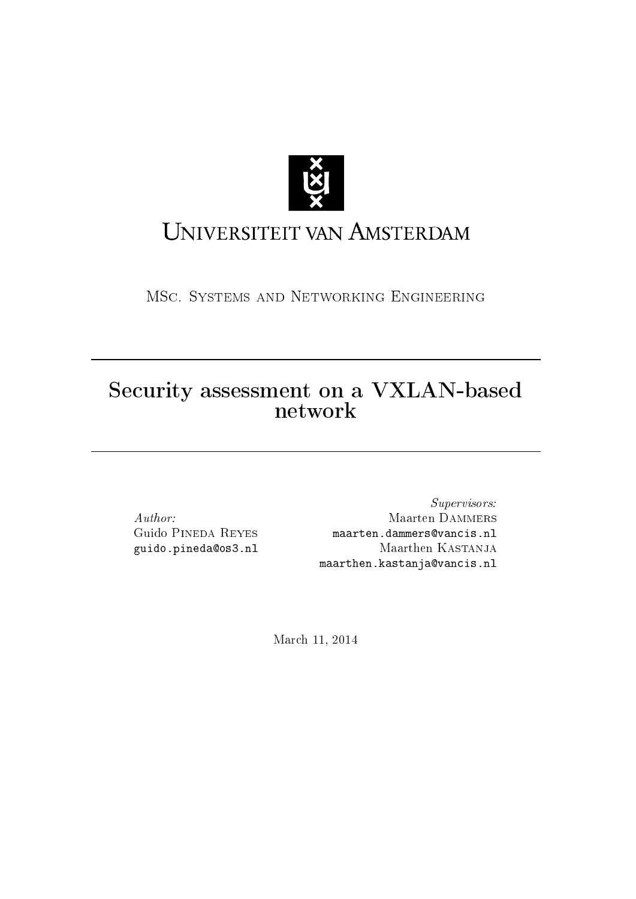

# UNIVERSITEIT VAN AMSTERDAM

MSc. Systems and Networking Engineering

## Security assessment on a VXLAN-based network

Author: Guido Pineda Reyes guido.pineda@os3.nl

Supervisors: Maarten Dammers maarten.dammers@vancis.nl Maarthen Kastanja maarthen.kastanja@vancis.nl

March 11, 2014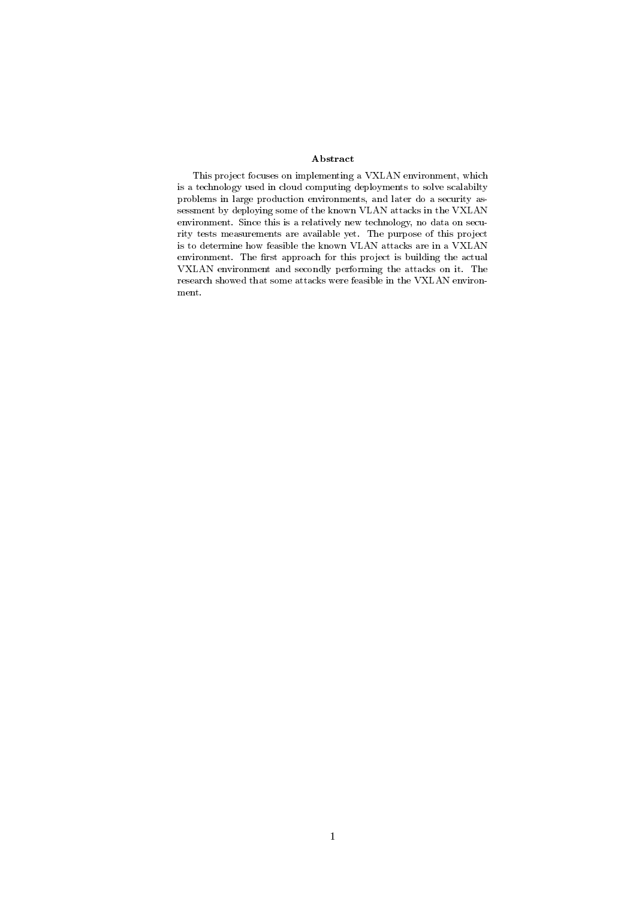#### Abstract

This project focuses on implementing a VXLAN environment, which is a technology used in cloud computing deployments to solve scalabilty problems in large production environments, and later do a security assessment by deploying some of the known VLAN attacks in the VXLAN environment. Since this is a relatively new technology, no data on security tests measurements are available yet. The purpose of this project is to determine how feasible the known VLAN attacks are in a VXLAN environment. The first approach for this project is building the actual VXLAN environment and secondly performing the attacks on it. The research showed that some attacks were feasible in the VXLAN environment.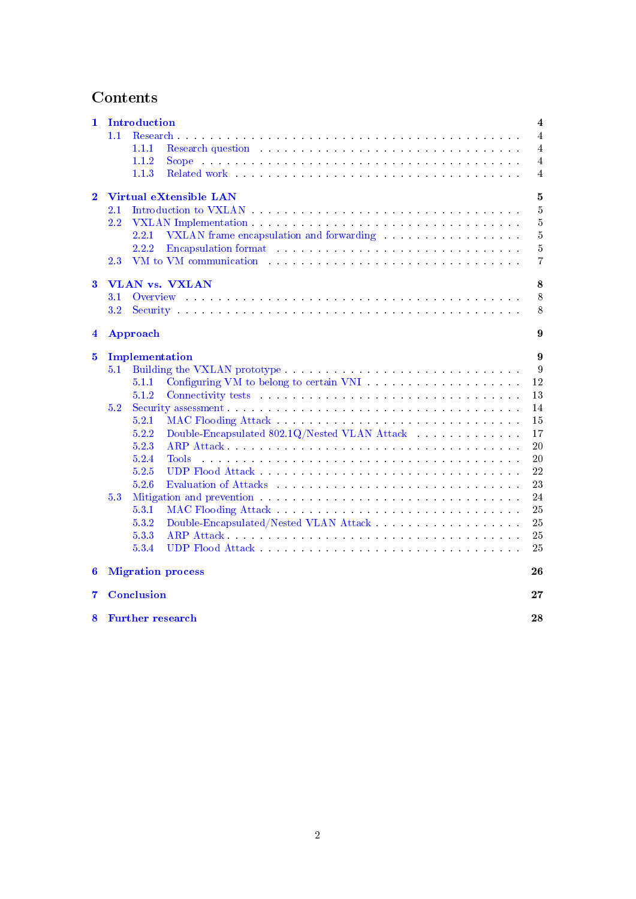## Contents

| 1                       |         | Introduction                                                                                                                                                                                                                            | $\overline{\mathbf{4}}$ |
|-------------------------|---------|-----------------------------------------------------------------------------------------------------------------------------------------------------------------------------------------------------------------------------------------|-------------------------|
|                         | 1.1     | Research<br>a construction of the construction of the construction of the construction of the construction of the construction                                                                                                          | 4                       |
|                         |         | 1.1.1<br>Research question and a subsequently and a subsequently contained a subsequently and a subsequently set of the                                                                                                                 | 4                       |
|                         |         | 1.1.2<br><b>Scope</b><br>المتعاونة والمتعاونة والمتعاونة والمتعاونة والمتعاونة والمتعاونة والمتعاونة والمتعاونة والمتعاونة والمتعاونة                                                                                                   | 4                       |
|                         |         | 1.1.3                                                                                                                                                                                                                                   | 4                       |
|                         |         |                                                                                                                                                                                                                                         |                         |
| $\mathbf{2}$            |         | Virtual eXtensible LAN                                                                                                                                                                                                                  | $\mathbf{5}$            |
|                         | 2.1     |                                                                                                                                                                                                                                         | 5                       |
|                         | 2.2     |                                                                                                                                                                                                                                         | $\overline{5}$          |
|                         |         | 2.2.1<br>VXLAN frame encapsulation and forwarding and services are all the services of the services of the services of the services of the services of the services of the services of the services of the services of the services of  | $\overline{5}$          |
|                         |         | 2.2.2<br>Encapsulation format and a series of the series of the series of the series of the series of the series of the                                                                                                                 | $\overline{5}$          |
|                         | $2.3\,$ | VM to VM communication with a subsequently and a subsequently set of the set of the set of the set of the set of the set of the set of the set of the set of the set of the set of the set of the set of the set of the set of          | 7                       |
| 3                       |         | VLAN vs. VXLAN                                                                                                                                                                                                                          | 8                       |
|                         | 3.1     |                                                                                                                                                                                                                                         | 8                       |
|                         | $3.2\,$ |                                                                                                                                                                                                                                         | 8                       |
|                         |         |                                                                                                                                                                                                                                         |                         |
| $\overline{\mathbf{4}}$ |         | Approach                                                                                                                                                                                                                                | 9                       |
| $\bf{5}$                |         | Implementation                                                                                                                                                                                                                          | 9                       |
|                         | 5.1     |                                                                                                                                                                                                                                         | 9                       |
|                         |         | 5.1.1                                                                                                                                                                                                                                   | 12                      |
|                         |         | 5.1.2<br>Connectivity tests in the connectivity tests in the connectivity tests in the connection of the connection of the connection of the connection of the connection of the connection of the connection of the connection of the  | 13                      |
|                         | 5.2     | Security assessment.                                                                                                                                                                                                                    | 14                      |
|                         |         | 5.2.1                                                                                                                                                                                                                                   | 15                      |
|                         |         | 5.2.2<br>Double-Encapsulated 802.1Q/Nested VLAN Attack                                                                                                                                                                                  | 17                      |
|                         |         | 5.2.3                                                                                                                                                                                                                                   | 20                      |
|                         |         | 5.2.4<br>Tools <sup>-</sup><br>and the company of the company of the company of the company of the company of the company of the company of the                                                                                         | 20                      |
|                         |         | 5.2.5                                                                                                                                                                                                                                   | 22                      |
|                         |         | 5.2.6<br>Evaluation of Attacks and a series of the series of the series of the series of the series of the series of the series of the series of the series of the series of the series of the series of the series of the series of th | 23                      |
|                         | 5.3     |                                                                                                                                                                                                                                         | 24                      |
|                         |         | 5.3.1                                                                                                                                                                                                                                   | 25                      |
|                         |         |                                                                                                                                                                                                                                         |                         |
|                         |         | 5.3.2                                                                                                                                                                                                                                   | $25\,$                  |
|                         |         | 5.3.3                                                                                                                                                                                                                                   | 25                      |
|                         |         | 5.3.4<br>UDP Flood Attack and the service of the service of the service of the service of the service of the service of the service of the service of the service of the service of the service of the service of the service of the se | 25                      |
| 6                       |         | <b>Migration process</b>                                                                                                                                                                                                                | 26                      |
| 7                       |         | <b>Conclusion</b>                                                                                                                                                                                                                       | $\bf{27}$               |
| 8                       |         | <b>Further research</b>                                                                                                                                                                                                                 | 28                      |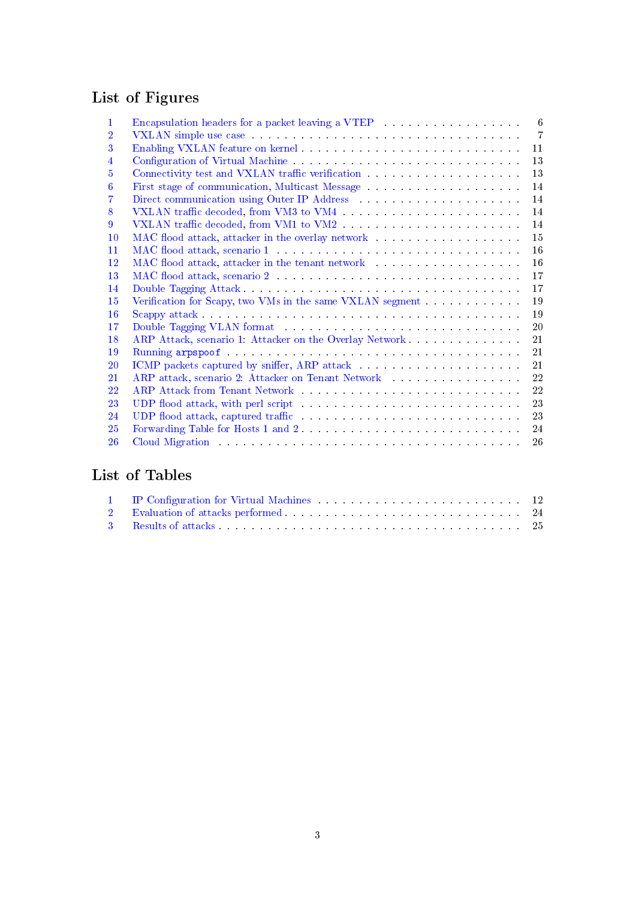## List of Figures

| 1  | 6<br>Encapsulation headers for a packet leaving a VTEP entitled and solution of the set of the set of the set of the set of the set of the set of the set of the set of the set of the set of the set of the set of the set of the               |
|----|--------------------------------------------------------------------------------------------------------------------------------------------------------------------------------------------------------------------------------------------------|
| 2  | $\overline{7}$<br>VXLAN simple use case with a contract of the contract of the contract of the contract of the contract of the contract of the contract of the contract of the contract of the contract of the contract of the contract of the c |
| 3  | 11                                                                                                                                                                                                                                               |
| 4  | 13                                                                                                                                                                                                                                               |
| 5  | 13<br>Connectivity test and VXLAN traffic verification<br>$\hfill\ldots\ldots\ldots\ldots\ldots\ldots\ldots\ldots\ldots\ldots$                                                                                                                   |
| 6  | 14                                                                                                                                                                                                                                               |
| 7  | 14                                                                                                                                                                                                                                               |
| 8  | 14                                                                                                                                                                                                                                               |
| 9  | 14                                                                                                                                                                                                                                               |
| 10 | 15                                                                                                                                                                                                                                               |
| 11 | 16                                                                                                                                                                                                                                               |
| 12 | 16<br>MAC flood attack, attacker in the tenant network and according the set of the set of the set of the set of the set of the set of the set of the set of the set of the set of the set of the set of the set of the set of the s             |
| 13 | 17                                                                                                                                                                                                                                               |
| 14 | 17                                                                                                                                                                                                                                               |
| 15 | 19<br>Verification for Scapy, two VMs in the same VXLAN segment                                                                                                                                                                                  |
| 16 | 19                                                                                                                                                                                                                                               |
| 17 | 20<br>Double Tagging VLAN format and a series of the contract of the contract of the contract of the contract of the contract of the contract of the contract of the contract of the contract of the contract of the contract of the             |
| 18 | ARP Attack, scenario 1: Attacker on the Overlay Network<br>21                                                                                                                                                                                    |
| 19 | 21                                                                                                                                                                                                                                               |
| 20 | 21                                                                                                                                                                                                                                               |
| 21 | 22                                                                                                                                                                                                                                               |
| 22 | 22                                                                                                                                                                                                                                               |
| 23 | 23<br>UDP flood attack, with perl script and according to the set of the set of the set of the set of the set of the set of the set of the set of the set of the set of the set of the set of the set of the set of the set of the s             |
| 24 | 23                                                                                                                                                                                                                                               |
| 25 | 24<br>Forwarding Table for Hosts 1 and 2                                                                                                                                                                                                         |
| 26 | Cloud Migration (Charles and Charles and Charles and Charles and Charles and Charles and Charles and Charles and Charles and Charles and Charles and Charles and Charles and Charles and Charles and Charles and Charles and C<br>26             |
|    |                                                                                                                                                                                                                                                  |

## List of Tables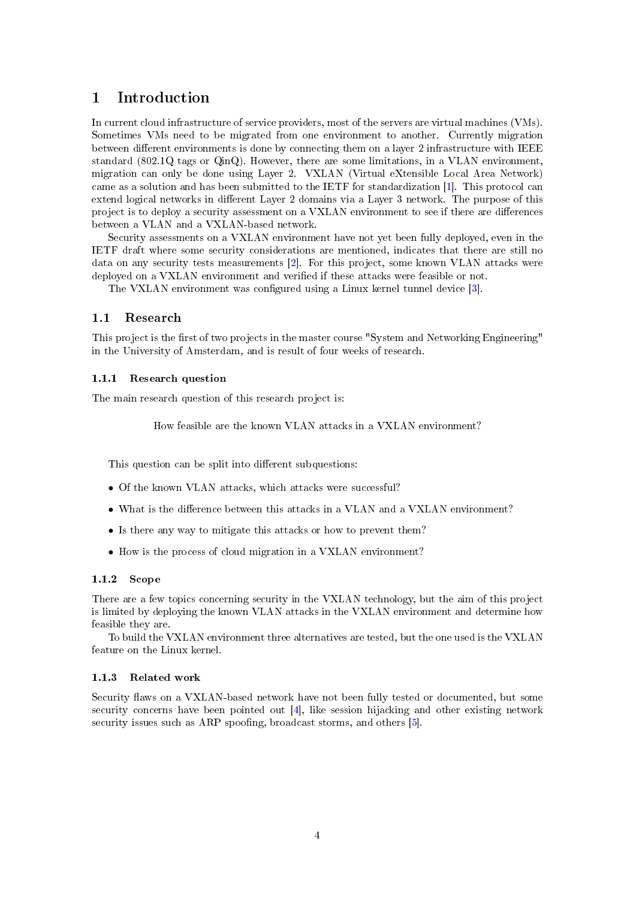## <span id="page-4-0"></span>1 Introduction

In current cloud infrastructure of service providers, most of the servers are virtual machines (VMs). Sometimes VMs need to be migrated from one environment to another. Currently migration between different environments is done by connecting them on a layer 2 infrastructure with IEEE standard (802.1Q tags or QinQ). However, there are some limitations, in a VLAN environment, migration can only be done using Layer 2. VXLAN (Virtual eXtensible Local Area Network) came as a solution and has been submitted to the IETF for standardization [\[1\]](#page-29-0). This protocol can extend logical networks in different Layer 2 domains via a Layer 3 network. The purpose of this project is to deploy a security assessment on a VXLAN environment to see if there are differences between a VLAN and a VXLAN-based network.

Security assessments on a VXLAN environment have not yet been fully deployed, even in the IETF draft where some security considerations are mentioned, indicates that there are still no data on any security tests measurements [\[2\]](#page-29-1). For this project, some known VLAN attacks were deployed on a VXLAN environment and verified if these attacks were feasible or not.

The VXLAN environment was configured using a Linux kernel tunnel device [\[3\]](#page-29-2).

#### <span id="page-4-1"></span>1.1 Research

This project is the first of two projects in the master course "System and Networking Engineering" in the University of Amsterdam, and is result of four weeks of research.

#### <span id="page-4-2"></span>1.1.1 Research question

The main research question of this research project is:

How feasible are the known VLAN attacks in a VXLAN environment?

This question can be split into different subquestions:

- Of the known VLAN attacks, which attacks were successful?
- What is the difference between this attacks in a VLAN and a VXLAN environment?
- Is there any way to mitigate this attacks or how to prevent them?
- How is the process of cloud migration in a VXLAN environment?

## <span id="page-4-3"></span>1.1.2 Scope

There are a few topics concerning security in the VXLAN technology, but the aim of this project is limited by deploying the known VLAN attacks in the VXLAN environment and determine how feasible they are.

To build the VXLAN environment three alternatives are tested, but the one used is the VXLAN feature on the Linux kernel.

#### <span id="page-4-4"></span>1.1.3 Related work

Security flaws on a VXLAN-based network have not been fully tested or documented, but some security concerns have been pointed out [\[4\]](#page-29-3), like session hijacking and other existing network security issues such as ARP spoofing, broadcast storms, and others [\[5\]](#page-29-4).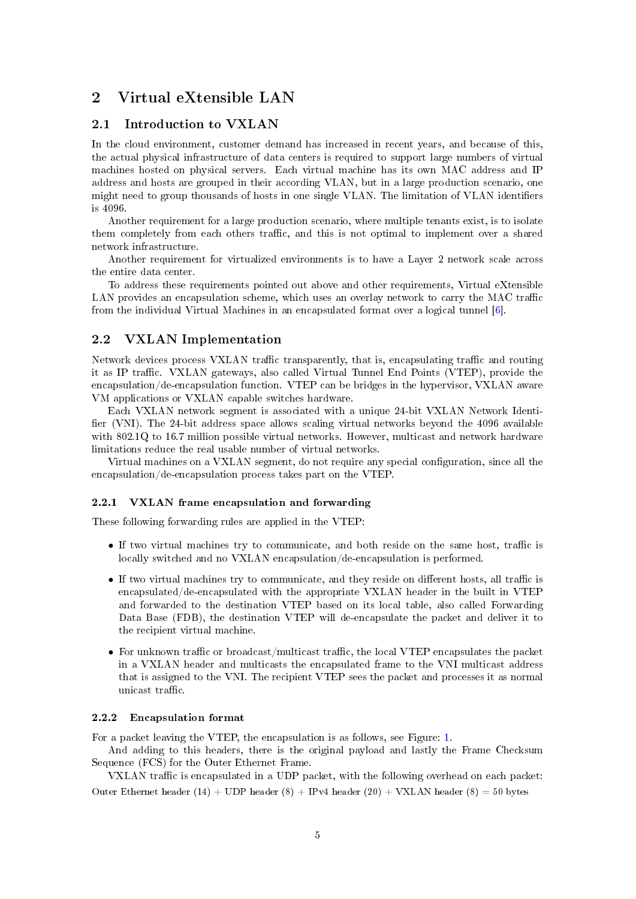## <span id="page-5-0"></span>2 Virtual eXtensible LAN

## <span id="page-5-1"></span>2.1 Introduction to VXLAN

In the cloud environment, customer demand has increased in recent years, and because of this, the actual physical infrastructure of data centers is required to support large numbers of virtual machines hosted on physical servers. Each virtual machine has its own MAC address and IP address and hosts are grouped in their according VLAN, but in a large production scenario, one might need to group thousands of hosts in one single VLAN. The limitation of VLAN identifiers is 4096.

Another requirement for a large production scenario, where multiple tenants exist, is to isolate them completely from each others traffic, and this is not optimal to implement over a shared network infrastructure.

Another requirement for virtualized environments is to have a Layer 2 network scale across the entire data center.

To address these requirements pointed out above and other requirements, Virtual eXtensible LAN provides an encapsulation scheme, which uses an overlay network to carry the MAC traffic from the individual Virtual Machines in an encapsulated format over a logical tunnel [\[6\]](#page-29-5).

### <span id="page-5-2"></span>2.2 VXLAN Implementation

Network devices process VXLAN traffic transparently, that is, encapsulating traffic and routing it as IP traffic. VXLAN gateways, also called Virtual Tunnel End Points (VTEP), provide the encapsulation/de-encapsulation function. VTEP can be bridges in the hypervisor, VXLAN aware VM applications or VXLAN capable switches hardware.

Each VXLAN network segment is associated with a unique 24-bit VXLAN Network Identi fier (VNI). The 24-bit address space allows scaling virtual networks beyond the 4096 available with 802.1Q to 16.7 million possible virtual networks. However, multicast and network hardware limitations reduce the real usable number of virtual networks.

Virtual machines on a VXLAN segment, do not require any special configuration, since all the encapsulation/de-encapsulation process takes part on the VTEP.

#### <span id="page-5-3"></span>2.2.1 VXLAN frame encapsulation and forwarding

These following forwarding rules are applied in the VTEP:

- $\bullet$  If two virtual machines try to communicate, and both reside on the same host, traffic is locally switched and no VXLAN encapsulation/de-encapsulation is performed.
- $\bullet$  If two virtual machines try to communicate, and they reside on different hosts, all traffic is encapsulated/de-encapsulated with the appropriate VXLAN header in the built in VTEP and forwarded to the destination VTEP based on its local table, also called Forwarding Data Base (FDB), the destination VTEP will de-encapsulate the packet and deliver it to the recipient virtual machine.
- For unknown traffic or broadcast/multicast traffic, the local VTEP encapsulates the packet in a VXLAN header and multicasts the encapsulated frame to the VNI multicast address that is assigned to the VNI. The recipient VTEP sees the packet and processes it as normal unicast  $traffic$ .

#### <span id="page-5-4"></span>2.2.2 Encapsulation format

For a packet leaving the VTEP, the encapsulation is as follows, see Figure: [1.](#page-6-0)

And adding to this headers, there is the original payload and lastly the Frame Checksum Sequence (FCS) for the Outer Ethernet Frame.

VXLAN traffic is encapsulated in a UDP packet, with the following overhead on each packet: Outer Ethernet header (14) + UDP header (8) + IPv4 header (20) + VXLAN header (8) = 50 bytes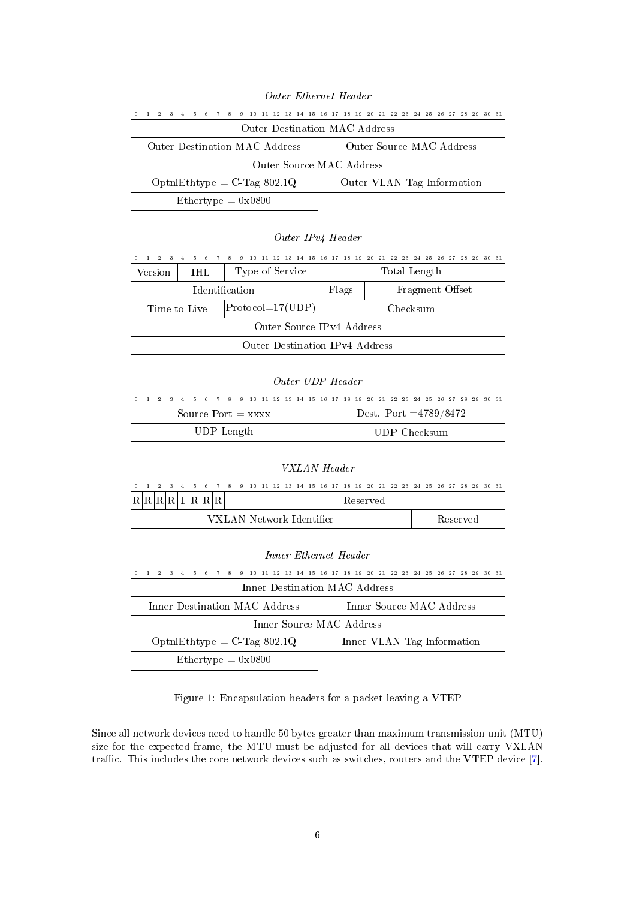#### Outer Ethernet Header

<span id="page-6-0"></span>

| 0 1 2 3 4 5 6 7 8 9 10 11 12 13 14 15 16 17 18 19 20 21 22 23 24 25 26 27 28 29 30 31 |  |  |  |                                      |  |  |  |  |  |                               |  |  |  |  |  |  |
|---------------------------------------------------------------------------------------|--|--|--|--------------------------------------|--|--|--|--|--|-------------------------------|--|--|--|--|--|--|
|                                                                                       |  |  |  |                                      |  |  |  |  |  | Outer Destination MAC Address |  |  |  |  |  |  |
|                                                                                       |  |  |  | Outer Destination MAC Address        |  |  |  |  |  | Outer Source MAC Address      |  |  |  |  |  |  |
|                                                                                       |  |  |  |                                      |  |  |  |  |  | Outer Source MAC Address      |  |  |  |  |  |  |
|                                                                                       |  |  |  | $\text{Optn}$ Ethtype = C-Tag 802.1Q |  |  |  |  |  | Outer VLAN Tag Information    |  |  |  |  |  |  |
|                                                                                       |  |  |  | Ethertype $= 0x0800$                 |  |  |  |  |  |                               |  |  |  |  |  |  |

#### Outer IPv4 Header

| 0 1 2 3 4 5 6 7 8 9 10 11 12 13 14 15 16 17 18 19 20 21 22 23 24 25 26 27 28 29 30 31 |                                                               |  |  |                                |  |  |  |  |  |       |  |  |          |              |  |                 |  |  |
|---------------------------------------------------------------------------------------|---------------------------------------------------------------|--|--|--------------------------------|--|--|--|--|--|-------|--|--|----------|--------------|--|-----------------|--|--|
| Version                                                                               | <b>IHL</b>                                                    |  |  | Type of Service                |  |  |  |  |  |       |  |  |          | Total Length |  |                 |  |  |
|                                                                                       |                                                               |  |  |                                |  |  |  |  |  | Flags |  |  |          |              |  | Fragment Offset |  |  |
|                                                                                       | <b>Identification</b><br>$ Protocol=17(UDP) $<br>Time to Live |  |  |                                |  |  |  |  |  |       |  |  | Checksum |              |  |                 |  |  |
|                                                                                       | Outer Source IPv4 Address                                     |  |  |                                |  |  |  |  |  |       |  |  |          |              |  |                 |  |  |
|                                                                                       |                                                               |  |  | Outer Destination IPv4 Address |  |  |  |  |  |       |  |  |          |              |  |                 |  |  |

#### Outer UDP Header

|  |  |  |            |  | 0 1 2 3 4 5 6 7 8 9 10 11 12 13 14 15 16 17 18 19 20 21 22 23 24 25 26 27 28 29 30 31 |  |  |  |  |                         |  |  |              |  |  |  |
|--|--|--|------------|--|---------------------------------------------------------------------------------------|--|--|--|--|-------------------------|--|--|--------------|--|--|--|
|  |  |  |            |  | Source $Port = XXX$                                                                   |  |  |  |  | Dest. Port $=4789/8472$ |  |  |              |  |  |  |
|  |  |  | UDP Length |  |                                                                                       |  |  |  |  |                         |  |  | UDP Checksum |  |  |  |

#### VXLAN Header

| 0 1 2 3 4 5 6 7 8 9 10 11 12 13 14 15 16 17 18 19 20 21 22 23 24 25 26 27 28 29 30 31 |  |  |  |  |                          |  |  |  |  |          |  |  |  |                 |  |  |
|---------------------------------------------------------------------------------------|--|--|--|--|--------------------------|--|--|--|--|----------|--|--|--|-----------------|--|--|
|                                                                                       |  |  |  |  |                          |  |  |  |  | Reserved |  |  |  |                 |  |  |
|                                                                                       |  |  |  |  | VXLAN Network Identifier |  |  |  |  |          |  |  |  | <b>Reserved</b> |  |  |

#### Inner Ethernet Header

| $\Omega$ |  |  |  |                               |  |  |  |  |  | 1 2 3 4 5 6 7 8 9 10 11 12 13 14 15 16 17 18 19 20 21 22 23 24 25 26 27 28 29 30 31 |  |  |  |  |  |  |
|----------|--|--|--|-------------------------------|--|--|--|--|--|-------------------------------------------------------------------------------------|--|--|--|--|--|--|
|          |  |  |  |                               |  |  |  |  |  | Inner Destination MAC Address                                                       |  |  |  |  |  |  |
|          |  |  |  | Inner Destination MAC Address |  |  |  |  |  | Inner Source MAC Address                                                            |  |  |  |  |  |  |
|          |  |  |  |                               |  |  |  |  |  | Inner Source MAC Address                                                            |  |  |  |  |  |  |
|          |  |  |  | $Optn!Ethtype = C-Tag 802.1Q$ |  |  |  |  |  | Inner VLAN Tag Information                                                          |  |  |  |  |  |  |
|          |  |  |  | $Ethertype = 0x0800$          |  |  |  |  |  |                                                                                     |  |  |  |  |  |  |

Figure 1: Encapsulation headers for a packet leaving a VTEP

Since all network devices need to handle 50 bytes greater than maximum transmission unit (MTU) size for the expected frame, the MTU must be adjusted for all devices that will carry VXLAN traffic. This includes the core network devices such as switches, routers and the VTEP device [\[7\]](#page-29-6).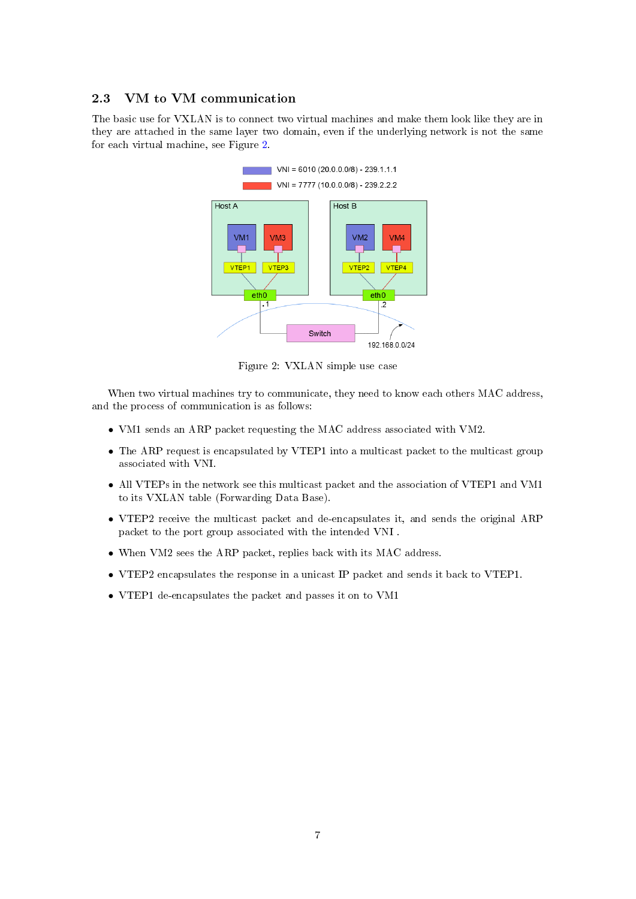## <span id="page-7-0"></span>2.3 VM to VM communication

<span id="page-7-1"></span>The basic use for VXLAN is to connect two virtual machines and make them look like they are in they are attached in the same layer two domain, even if the underlying network is not the same for each virtual machine, see Figure [2.](#page-7-1)



Figure 2: VXLAN simple use case

When two virtual machines try to communicate, they need to know each others MAC address, and the process of communication is as follows:

- VM1 sends an ARP packet requesting the MAC address associated with VM2.
- The ARP request is encapsulated by VTEP1 into a multicast packet to the multicast group associated with VNI.
- All VTEPs in the network see this multicast packet and the association of VTEP1 and VM1 to its VXLAN table (Forwarding Data Base).
- VTEP2 receive the multicast packet and de-encapsulates it, and sends the original ARP packet to the port group associated with the intended VNI .
- When VM2 sees the ARP packet, replies back with its MAC address.
- VTEP2 encapsulates the response in a unicast IP packet and sends it back to VTEP1.
- VTEP1 de-encapsulates the packet and passes it on to VM1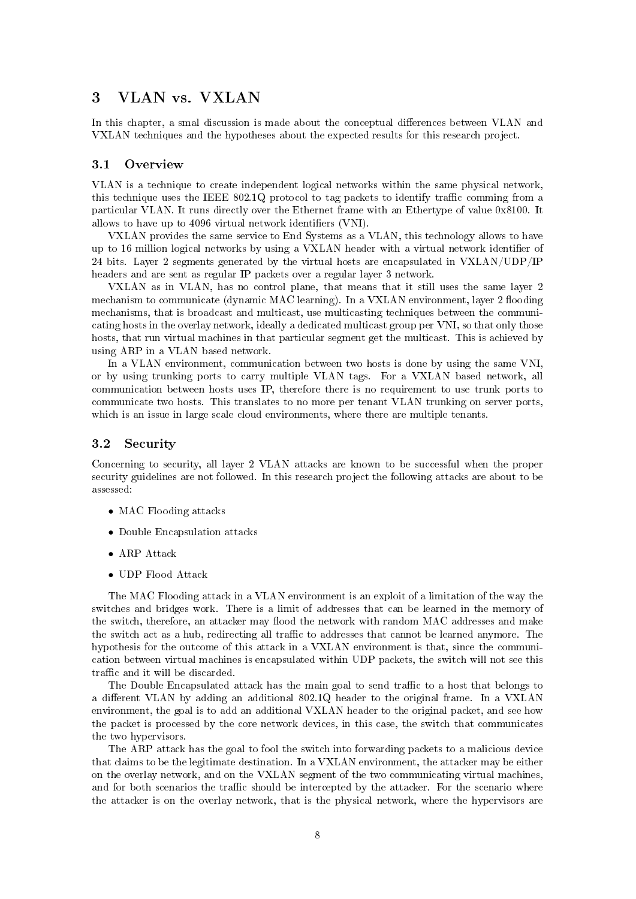## <span id="page-8-0"></span>3 VLAN vs. VXLAN

In this chapter, a smal discussion is made about the conceptual differences between VLAN and VXLAN techniques and the hypotheses about the expected results for this research project.

#### <span id="page-8-1"></span>3.1 Overview

VLAN is a technique to create independent logical networks within the same physical network, this technique uses the IEEE  $802.1Q$  protocol to tag packets to identify traffic comming from a particular VLAN. It runs directly over the Ethernet frame with an Ethertype of value 0x8100. It allows to have up to 4096 virtual network identifiers (VNI).

VXLAN provides the same service to End Systems as a VLAN, this technology allows to have up to 16 million logical networks by using a VXLAN header with a virtual network identifier of 24 bits. Layer 2 segments generated by the virtual hosts are encapsulated in VXLAN/UDP/IP headers and are sent as regular IP packets over a regular layer 3 network.

VXLAN as in VLAN, has no control plane, that means that it still uses the same layer 2 mechanism to communicate (dynamic MAC learning). In a VXLAN environment, layer 2 flooding mechanisms, that is broadcast and multicast, use multicasting techniques between the communicating hosts in the overlay network, ideally a dedicated multicast group per VNI, so that only those hosts, that run virtual machines in that particular segment get the multicast. This is achieved by using ARP in a VLAN based network.

In a VLAN environment, communication between two hosts is done by using the same VNI, or by using trunking ports to carry multiple VLAN tags. For a VXLAN based network, all communication between hosts uses IP, therefore there is no requirement to use trunk ports to communicate two hosts. This translates to no more per tenant VLAN trunking on server ports, which is an issue in large scale cloud environments, where there are multiple tenants.

#### <span id="page-8-2"></span>3.2 Security

Concerning to security, all layer 2 VLAN attacks are known to be successful when the proper security guidelines are not followed. In this research project the following attacks are about to be assessed:

- MAC Flooding attacks
- Double Encapsulation attacks
- ARP Attack
- UDP Flood Attack

The MAC Flooding attack in a VLAN environment is an exploit of a limitation of the way the switches and bridges work. There is a limit of addresses that can be learned in the memory of the switch, therefore, an attacker may flood the network with random MAC addresses and make the switch act as a hub, redirecting all traffic to addresses that cannot be learned anymore. The hypothesis for the outcome of this attack in a VXLAN environment is that, since the communication between virtual machines is encapsulated within UDP packets, the switch will not see this traffic and it will be discarded.

The Double Encapsulated attack has the main goal to send traffic to a host that belongs to a different VLAN by adding an additional 802.1Q header to the original frame. In a VXLAN environment, the goal is to add an additional VXLAN header to the original packet, and see how the packet is processed by the core network devices, in this case, the switch that communicates the two hypervisors.

The ARP attack has the goal to fool the switch into forwarding packets to a malicious device that claims to be the legitimate destination. In a VXLAN environment, the attacker may be either on the overlay network, and on the VXLAN segment of the two communicating virtual machines, and for both scenarios the traffic should be intercepted by the attacker. For the scenario where the attacker is on the overlay network, that is the physical network, where the hypervisors are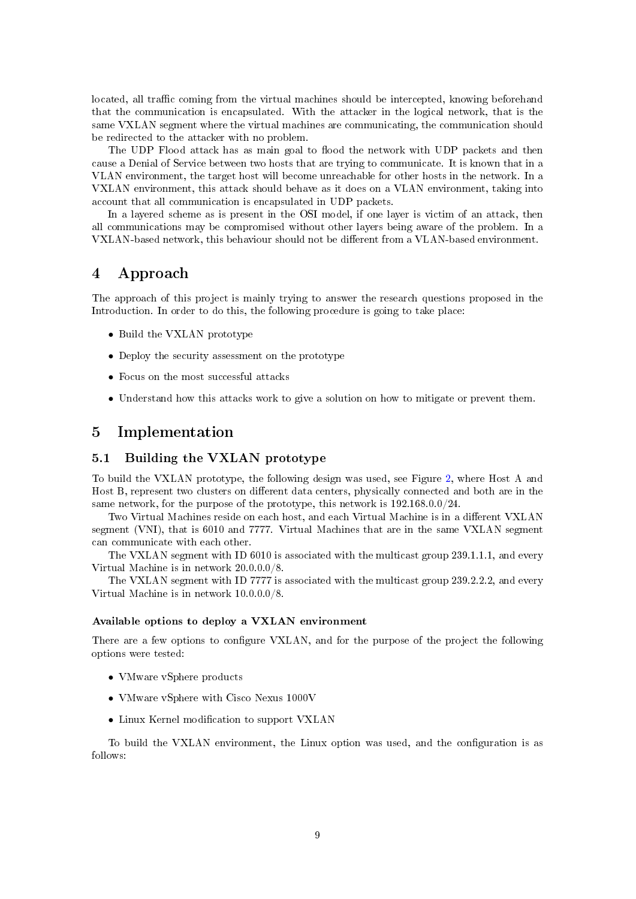located, all traffic coming from the virtual machines should be intercepted, knowing beforehand that the communication is encapsulated. With the attacker in the logical network, that is the same VXLAN segment where the virtual machines are communicating, the communication should be redirected to the attacker with no problem.

The UDP Flood attack has as main goal to flood the network with UDP packets and then cause a Denial of Service between two hosts that are trying to communicate. It is known that in a VLAN environment, the target host will become unreachable for other hosts in the network. In a VXLAN environment, this attack should behave as it does on a VLAN environment, taking into account that all communication is encapsulated in UDP packets.

In a layered scheme as is present in the OSI model, if one layer is victim of an attack, then all communications may be compromised without other layers being aware of the problem. In a VXLAN-based network, this behaviour should not be dierent from a VLAN-based environment.

## <span id="page-9-0"></span>4 Approach

The approach of this project is mainly trying to answer the research questions proposed in the Introduction. In order to do this, the following procedure is going to take place:

- Build the VXLAN prototype
- Deploy the security assessment on the prototype
- Focus on the most successful attacks
- Understand how this attacks work to give a solution on how to mitigate or prevent them.

## <span id="page-9-1"></span>5 Implementation

#### <span id="page-9-2"></span>5.1 Building the VXLAN prototype

To build the VXLAN prototype, the following design was used, see Figure [2,](#page-7-1) where Host A and Host B, represent two clusters on different data centers, physically connected and both are in the same network, for the purpose of the prototype, this network is 192.168.0.0/24.

Two Virtual Machines reside on each host, and each Virtual Machine is in a different VXLAN segment (VNI), that is 6010 and 7777. Virtual Machines that are in the same VXLAN segment can communicate with each other.

The VXLAN segment with ID 6010 is associated with the multicast group 239.1.1.1, and every Virtual Machine is in network 20.0.0.0/8.

The VXLAN segment with ID 7777 is associated with the multicast group 239.2.2.2, and every Virtual Machine is in network 10.0.0.0/8.

#### Available options to deploy a VXLAN environment

There are a few options to configure VXLAN, and for the purpose of the project the following options were tested:

- VMware vSphere products
- VMware vSphere with Cisco Nexus 1000V
- Linux Kernel modification to support VXLAN

To build the VXLAN environment, the Linux option was used, and the configuration is as follows: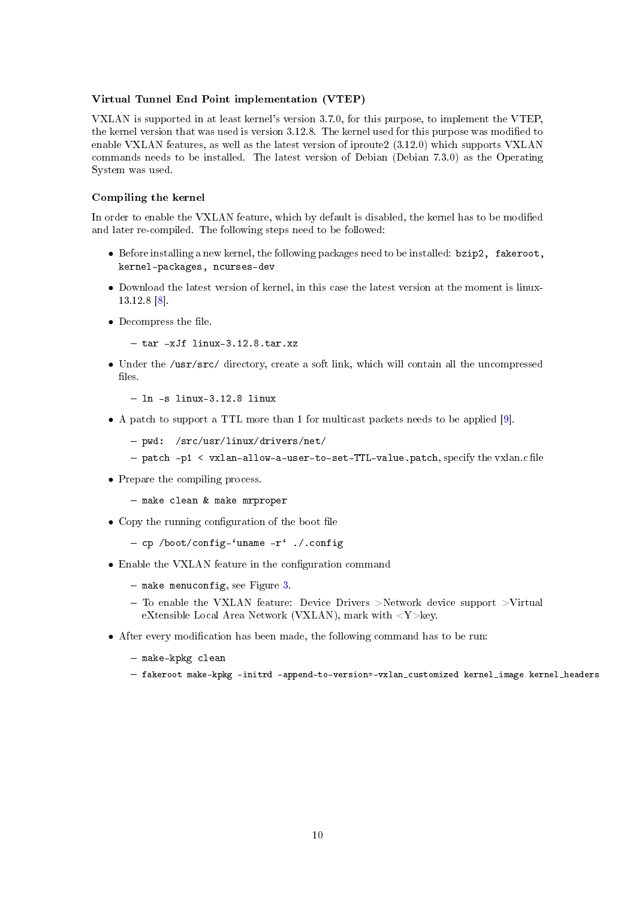#### Virtual Tunnel End Point implementation (VTEP)

VXLAN is supported in at least kernel's version 3.7.0, for this purpose, to implement the VTEP, the kernel version that was used is version 3.12.8. The kernel used for this purpose was modified to enable VXLAN features, as well as the latest version of iproute2 (3.12.0) which supports VXLAN commands needs to be installed. The latest version of Debian (Debian 7.3.0) as the Operating System was used.

#### Compiling the kernel

In order to enable the VXLAN feature, which by default is disabled, the kernel has to be modified and later re-compiled. The following steps need to be followed:

- Before installing a new kernel, the following packages need to be installed: bzip2, fakeroot, kernel-packages, ncurses-dev
- Download the latest version of kernel, in this case the latest version at the moment is linux-13.12.8 [\[8\]](#page-29-7).
- $\bullet$  Decompress the file.
	- $-$  tar  $-xJf$  linux-3.12.8.tar.xz
- Under the /usr/src/ directory, create a soft link, which will contain all the uncompressed  $files$ .
	- $-$  ln  $-$ s linux $-3.12.8$  linux
- A patch to support a TTL more than 1 for multicast packets needs to be applied [\[9\]](#page-29-8).
	- pwd: /src/usr/linux/drivers/net/
	- $-p_1 \leq v_1$  and  $v_2$  =  $v_2$  =  $v_3$  =  $v_4$  =  $v_5$  =  $v_6$  =  $v_7$  =  $v_8$  =  $v_7$  =  $v_8$  =  $v_7$  =  $v_8$  =  $v_9$  =  $v_9$  =  $v_9$  =  $v_9$  =  $v_9$  =  $v_9$  =  $v_9$  =  $v_9$  =  $v_9$  =  $v_9$  =  $v_9$  =  $v_9$  =  $v_9$  =  $v_9$
- Prepare the compiling process.
	- $-$  make clean & make mrproper
- $\bullet$  Copy the running configuration of the boot file
	- cp /boot/config-'uname  $-r'$  ./.config
- Enable the VXLAN feature in the configuration command
	- $-$  make menuconfig, see Figure [3.](#page-11-0)
	- $-$  To enable the VXLAN feature: Device Drivers >Network device support >Virtual eXtensible Local Area Network (VXLAN), mark with <Y>key.
- After every modification has been made, the following command has to be run:
	- make-kpkg clean
	- fakeroot make-kpkg initrd append-to-version=-vxlan\_customized kernel\_image kernel\_headers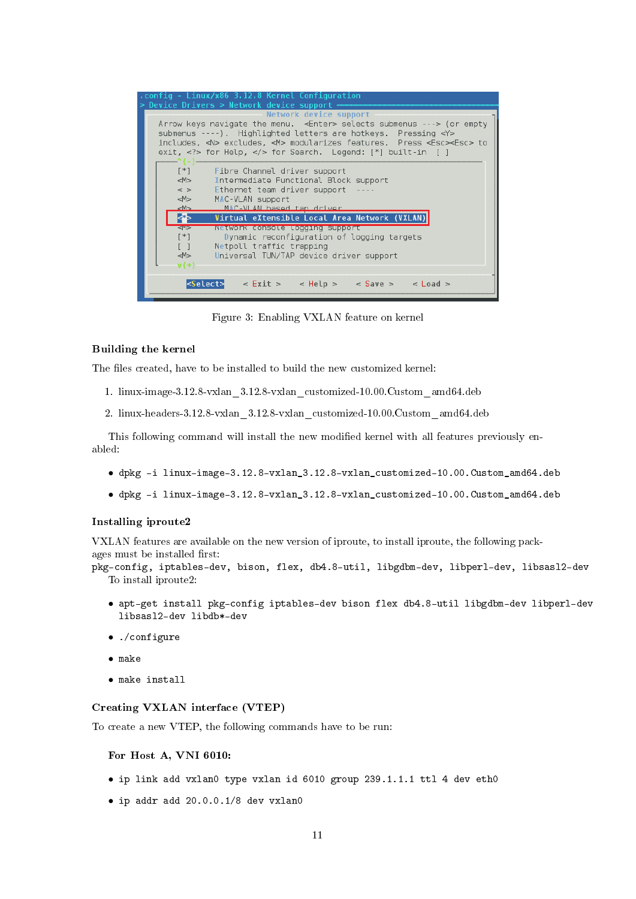<span id="page-11-0"></span>

| .config - Linux/x86 3.12.8 Kernel Configuration<br>> Device Drivers > Network device support                                                                                                                                                                        |
|---------------------------------------------------------------------------------------------------------------------------------------------------------------------------------------------------------------------------------------------------------------------|
| Network device support<br>Arrow keys navigate the menu. < Enter> selects submenus ---> (or empty<br>submenus ----). Highlighted letters are hotkeys. Pressing <y><br/>includes, <n> excludes, <m> modularizes features. Press <esc><esc> to</esc></esc></m></n></y> |
| $[ * ]$<br>Fibre Channel driver support<br> M><br>Intermediate Functional Block support<br>$\leq$ ><br>Ethernet team driver support<br>M ><br>MAC-VLAN support<br>MAC-VLAN hasod tan driver<br>$-M>$                                                                |
| kЪ<br>Virtual eXtensible Local Area Network (VXLAN)<br>Network console logging support<br>$1$<br>$[$ *]<br>Dynamic reconfiguration of logging targets<br>$\lceil$ $\rceil$<br>Netpoll traffic trapping<br>M ><br>Universal TUN/TAP device driver support<br>$v(+)$  |
| $\leq$ Select> < Exit > < Help > < Save > < Load >                                                                                                                                                                                                                  |

Figure 3: Enabling VXLAN feature on kernel

#### Building the kernel

The files created, have to be installed to build the new customized kernel:

- 1. linux-image-3.12.8-vxlan\_3.12.8-vxlan\_customized-10.00.Custom\_amd64.deb
- 2. linux-headers-3.12.8-vxlan\_3.12.8-vxlan\_customized-10.00.Custom\_amd64.deb

This following command will install the new modified kernel with all features previously enabled:

- dpkg -i linux-image-3.12.8-vxlan\_3.12.8-vxlan\_customized-10.00.Custom\_amd64.deb
- dpkg -i linux-image-3.12.8-vxlan\_3.12.8-vxlan\_customized-10.00.Custom\_amd64.deb

## Installing iproute2

VXLAN features are available on the new version of iproute, to install iproute, the following packages must be installed first:

```
pkg-config, iptables-dev, bison, flex, db4.8-util, libgdbm-dev, libperl-dev, libsasl2-dev
  To install iproute2:
```
- apt-get install pkg-config iptables-dev bison flex db4.8-util libgdbm-dev libperl-dev libsasl2-dev libdb\*-dev
- ./configure
- make
- make install

#### Creating VXLAN interface (VTEP)

To create a new VTEP, the following commands have to be run:

#### For Host A, VNI 6010:

- ip link add vxlan0 type vxlan id 6010 group 239.1.1.1 ttl 4 dev eth0
- ip addr add 20.0.0.1/8 dev vxlan0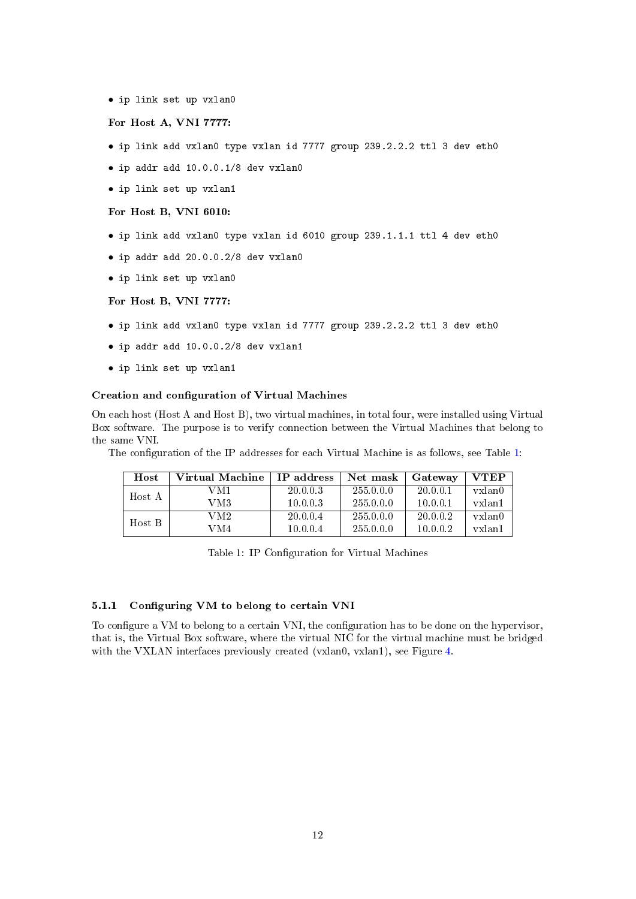• ip link set up vxlan0

For Host A, VNI 7777:

- ip link add vxlan0 type vxlan id 7777 group 239.2.2.2 ttl 3 dev eth0
- ip addr add 10.0.0.1/8 dev vxlan0
- ip link set up vxlan1

For Host B, VNI 6010:

- ip link add vxlan0 type vxlan id 6010 group 239.1.1.1 ttl 4 dev eth0
- ip addr add 20.0.0.2/8 dev vxlan0
- ip link set up vxlan0

For Host B, VNI 7777:

- ip link add vxlan0 type vxlan id 7777 group 239.2.2.2 ttl 3 dev eth0
- ip addr add 10.0.0.2/8 dev vxlan1
- ip link set up vxlan1

#### Creation and configuration of Virtual Machines

On each host (Host A and Host B), two virtual machines, in total four, were installed using Virtual Box software. The purpose is to verify connection between the Virtual Machines that belong to the same VNI.

<span id="page-12-1"></span>The configuration of the IP addresses for each Virtual Machine is as follows, see Table [1:](#page-12-1)

| Host   | Virtual Machine | IP address | Net mask  | Gateway  | <b>VTEP</b> |
|--------|-----------------|------------|-----------|----------|-------------|
| Host A | VM1             | 20.0.0.3   | 255.0.0.0 | 20.0.0.1 | yxlan0      |
|        | VM3             | 10.0.0.3   | 255.0.0.0 | 10.0.0.1 | yxlan1      |
| Host B | VM2.            | 20.0.0.4   | 255.0.0.0 | 20.0.0.2 | yxlan0      |
|        | VM4             | 10.0.0.4   | 255.0.0.0 | 10.0.0.2 | yxlan1      |

Table 1: IP Configuration for Virtual Machines

#### <span id="page-12-0"></span>5.1.1 Configuring VM to belong to certain VNI

To configure a VM to belong to a certain VNI, the configuration has to be done on the hypervisor, that is, the Virtual Box software, where the virtual NIC for the virtual machine must be bridged with the VXLAN interfaces previously created (vxlan0, vxlan1), see Figure [4.](#page-13-1)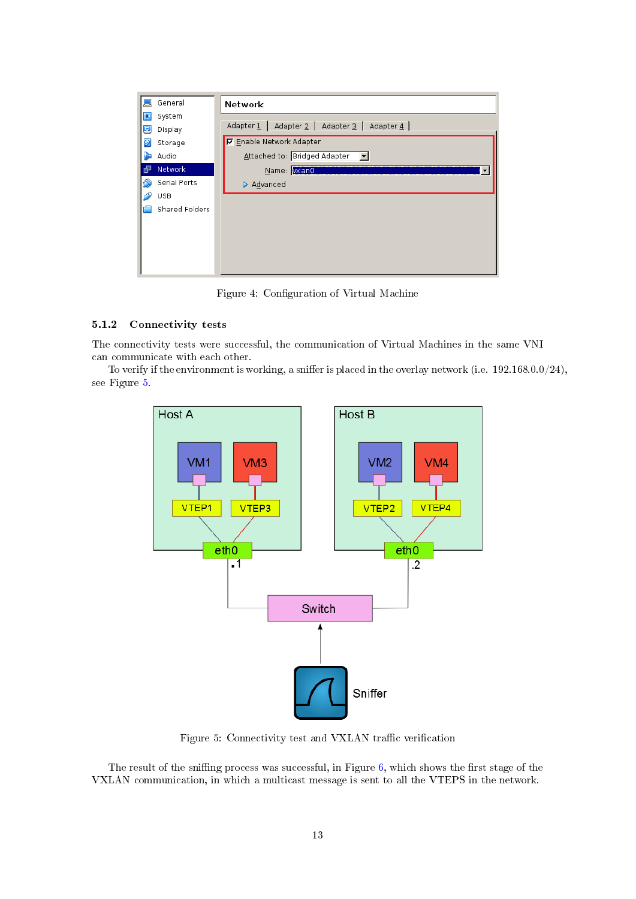<span id="page-13-1"></span>

| General        | Network                                       |
|----------------|-----------------------------------------------|
| System<br>п,   |                                               |
| 모<br>Display   | Adapter 1   Adapter 2   Adapter 3   Adapter 4 |
| ୭<br>Storage   | <b>▽</b> Enable Network Adapter               |
| Audio          | Attached to: Bridged Adapter                  |
| Network        | Name: <b>Mano</b>                             |
| Serial Ports   | Advanced                                      |
| USB            |                                               |
| Shared Folders |                                               |
|                |                                               |
|                |                                               |
|                |                                               |
|                |                                               |
|                |                                               |

Figure 4: Configuration of Virtual Machine

## <span id="page-13-0"></span>5.1.2 Connectivity tests

The connectivity tests were successful, the communication of Virtual Machines in the same VNI can communicate with each other.

<span id="page-13-2"></span>To verify if the environment is working, a sniffer is placed in the overlay network (i.e.  $192.168.0.0/24$ ), see Figure [5.](#page-13-2)



Figure 5: Connectivity test and VXLAN traffic verification

The result of the sniffing process was successful, in Figure [6,](#page-14-1) which shows the first stage of the VXLAN communication, in which a multicast message is sent to all the VTEPS in the network.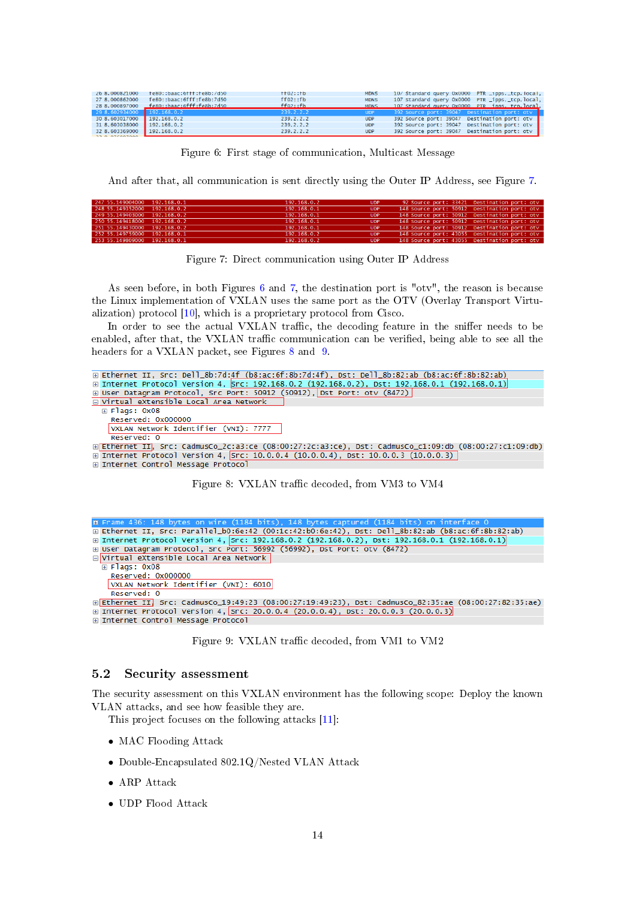<span id="page-14-1"></span>

| fe80::baac:6fff:fe8b:/d50  | TT02: Tb         | <b>MDNS</b> | 10/ Standard query 0x0000 PTR _1pps. _tcp. local, |
|----------------------------|------------------|-------------|---------------------------------------------------|
| fe80::baac:6fff:fe8b:7d50  | ff02::fb         | <b>MDNS</b> | 107 Standard query 0x0000 PTR _ipps._tcp.local,   |
|                            | $ff02 \cdot f h$ | <b>MDNS</b> | 107 Standard query 0x0000 PTR inns, tcn.local,    |
| 29 8.602934000 192.168.0.2 | 239.2.2.2        | UDP         | 392 Source port: 39047 Destination port: oty      |
| 30 8.603017000 192.168.0.2 | 239.2.2.2        | <b>UDP</b>  | 392 Source port: 39047 Destination port: otv      |
| 31 8.603038000 192.168.0.2 | 239.2.2.2        | <b>UDP</b>  | 392 Source port: 39047 Destination port: otv      |
| 32 8.603369000 192.168.0.2 | 239.2.2.2        | <b>UDP</b>  | 392 Source port: 39047 Destination port: otv      |
|                            |                  |             |                                                   |

Figure 6: First stage of communication, Multicast Message

And after that, all communication is sent directly using the Outer IP Address, see Figure [7.](#page-14-2)

<span id="page-14-2"></span>

| 247 55.149004000 192.168.0.1 | 192.168.0.2 | <b>UDP</b> | 92 Source port: 33421 Destination port: otv  |
|------------------------------|-------------|------------|----------------------------------------------|
| 248 55.149352000 192.168.0.2 | 192.168.0.1 | UDP        | 148 Source port: 50912 Destination port: otv |
| 249 55.149403000 192.168.0.2 | 192.168.0.1 | UDP        | 148 Source port: 50912 Destination port: otv |
| 250 55.149418000 192.168.0.2 | 192.168.0.1 | <b>UDP</b> | 148 Source port: 50912 Destination port: oty |
| 251 55.149430000 192.168.0.2 | 192.168.0.1 | UDP        | 148 Source port: 50912 Destination port: otv |
| 252 55.149759000 192.168.0.1 | 192.168.0.2 | <b>UDP</b> | 148 Source port: 43055 Destination port: otv |
| 253 55.149809000 192.168.0.1 | 192.168.0.2 | <b>UDP</b> | 148 Source port: 43055 Destination port: otv |
|                              |             |            |                                              |

Figure 7: Direct communication using Outer IP Address

As seen before, in both Figures [6](#page-14-1) and [7,](#page-14-2) the destination port is "otv", the reason is because the Linux implementation of VXLAN uses the same port as the OTV (Overlay Transport Virtualization) protocol [\[10\]](#page-29-9), which is a proprietary protocol from Cisco.

In order to see the actual VXLAN traffic, the decoding feature in the sniffer needs to be enabled, after that, the VXLAN traffic communication can be verified, being able to see all the headers for a VXLAN packet, see Figures [8](#page-14-3) and [9.](#page-14-4)

<span id="page-14-3"></span>

<span id="page-14-4"></span>

| ⊞ Ethernet II, Src: Parallel_b0:6e:42 (00:1c:42:b0:6e:42), Dst: Dell_8b:82:ab (b8:ac:6f:8b:82:ab)     |
|-------------------------------------------------------------------------------------------------------|
| ⊞ Internet Protocol Version 4, Src: 192.168.0.2 (192.168.0.2), Dst: 192.168.0.1 (192.168.0.1)         |
| ⊞ User Datagram Protocol, Src Port: 56992 (56992), Dst Port: otv (8472)                               |
| $\boxdot$ Virtual eXtensible Local Area Network $\mid$                                                |
| $\overline{H}$ Flags: 0x08                                                                            |
| Reserved: 0x000000                                                                                    |
| VXLAN Network Identifier (VNI): 6010                                                                  |
| Reserved: 0                                                                                           |
| ⊞ Ethernet II. Src: CadmusCo 19:49:23 (08:00:27:19:49:23), Dst: CadmusCo 82:35:ae (08:00:27:82:35:ae) |
| ⊞ Internet Protocol Version 4, Src: 20.0.0.4 (20.0.0.4), Dst: 20.0.0.3 (20.0.0.3)                     |
| ⊞ Internet Control Message Protocol                                                                   |

Figure 9: VXLAN traffic decoded, from VM1 to VM2

#### <span id="page-14-0"></span>5.2 Security assessment

The security assessment on this VXLAN environment has the following scope: Deploy the known VLAN attacks, and see how feasible they are.

This project focuses on the following attacks [\[11\]](#page-29-10):

- MAC Flooding Attack
- Double-Encapsulated 802.1Q/Nested VLAN Attack
- ARP Attack
- UDP Flood Attack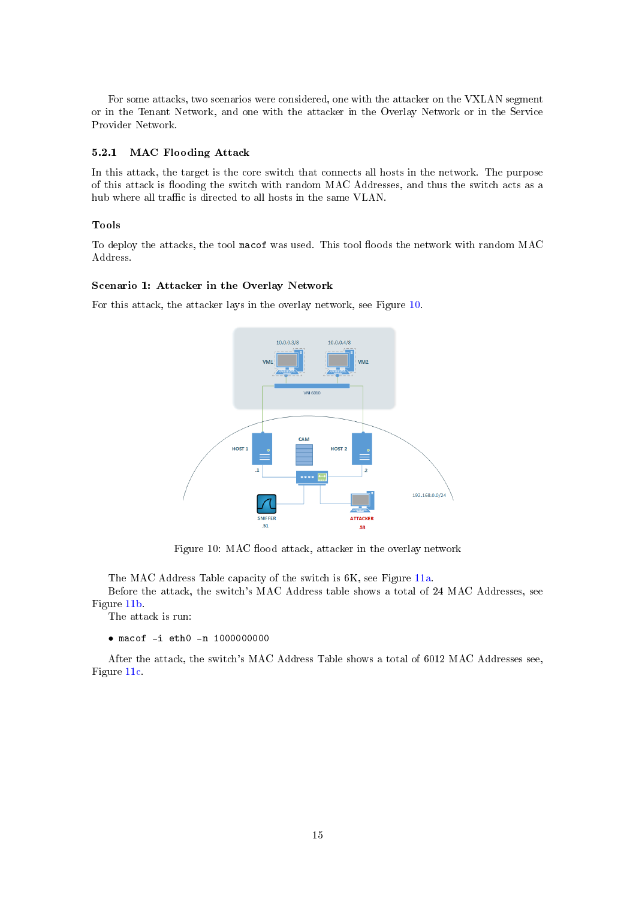For some attacks, two scenarios were considered, one with the attacker on the VXLAN segment or in the Tenant Network, and one with the attacker in the Overlay Network or in the Service Provider Network.

#### <span id="page-15-0"></span>5.2.1 MAC Flooding Attack

In this attack, the target is the core switch that connects all hosts in the network. The purpose of this attack is flooding the switch with random MAC Addresses, and thus the switch acts as a hub where all traffic is directed to all hosts in the same VLAN.

#### Tools

To deploy the attacks, the tool macof was used. This tool floods the network with random MAC Address.

#### Scenario 1: Attacker in the Overlay Network

<span id="page-15-1"></span>For this attack, the attacker lays in the overlay network, see Figure [10.](#page-15-1)



Figure 10: MAC flood attack, attacker in the overlay network

The MAC Address Table capacity of the switch is 6K, see Figure [11a.](#page-16-0)

Before the attack, the switch's MAC Address table shows a total of 24 MAC Addresses, see Figure [11b.](#page-16-0)

The attack is run:

• macof -i eth0 -n 1000000000

After the attack, the switch's MAC Address Table shows a total of 6012 MAC Addresses see, Figure [11c.](#page-16-0)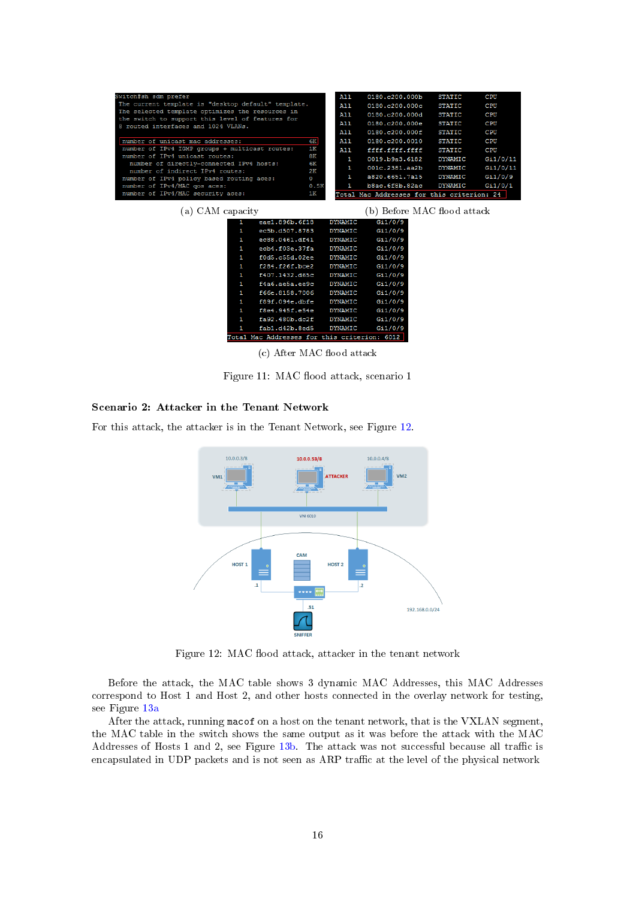<span id="page-16-0"></span>

| Switch#sh sdm prefer                                                                    |          | A11            | 0180.0200.000b                             | <b>STATIC</b>  | CPU      |
|-----------------------------------------------------------------------------------------|----------|----------------|--------------------------------------------|----------------|----------|
| The current template is "desktop default" template.                                     |          | All            | 0180.c200.000c                             | <b>STATIC</b>  | CPU      |
| The selected template optimizes the resources in                                        |          | A11            | 0180.c200.000d                             | <b>STATIC</b>  | CPU      |
| the switch to support this level of features for<br>8 routed interfaces and 1024 VLANs. |          | All            | 0180.c200.000e                             | <b>STATIC</b>  | CPU      |
|                                                                                         |          | A11            | 0180.c200.000f                             | <b>STATIC</b>  | CPU      |
| number of unicast mac addresses:                                                        | 6K       | A11            | 0180.c200.0010                             | <b>STATIC</b>  | CPU      |
| number of IPv4 IGMP groups + multicast routes:                                          | 1K       | ALL            | ffff.ffff.ffff                             | <b>STATIC</b>  | CPU      |
| number of IPv4 unicast routes:                                                          | 8K       | 1              | 0019.b9a3.6182                             | <b>DYNAMIC</b> | Gi1/0/11 |
| number of directly-connected IPv4 hosts:<br>number of indirect IPv4 routes:             | 6K<br>2K | 1              | 001c.2381.aa2b                             | <b>DYNAMIC</b> | Gi1/0/11 |
| number of IPv4 policy based routing aces:                                               | $\circ$  | 1.             | a820.6651.7a15                             | <b>DYNAMIC</b> | Gi1/0/9  |
| number of IPv4/MAC gos aces:                                                            | 0.5K     |                | b8ac.6f8b.82ac                             | <b>DYNAMIC</b> | Gi1/0/1  |
| number of IPv4/MAC security aces:                                                       | 1 K      |                | Total Mac Addresses for this criterion: 24 |                |          |
| (a) CAM capacity                                                                        |          |                | b) Before MAC flood attack                 |                |          |
| eae1.896b.6f18                                                                          |          | <b>DYNAMIC</b> | Gi1/0/9                                    |                |          |
| ec5b.d507.8783                                                                          |          | DYNAMIC        | Gi1/0/9                                    |                |          |
|                                                                                         |          |                |                                            |                |          |

| 1 | ec5b.d507.8783                               | <b>DYNAMIC</b> | Gi1/0/9 |
|---|----------------------------------------------|----------------|---------|
|   |                                              |                |         |
| 1 | ec88.0461.df41                               | <b>DYNAMIC</b> | Gi1/0/9 |
| 1 | ecb4.f03e.37fa                               | <b>DYNAMIC</b> | Gi1/0/9 |
| 1 | f0d5.c55d.02ee                               | <b>DYNAMIC</b> | Gi1/0/9 |
| 1 | f284.f26f,bce2                               | <b>DYNAMIC</b> | Gi1/0/9 |
| 1 | f407.1432.d65c                               | <b>DYNAMIC</b> | Gi1/0/9 |
| 1 | f4a6.ae5a.ee9c                               | <b>DYNAMIC</b> | Gi1/0/9 |
| 1 | £66e.8158.7006                               | <b>DYNAMIC</b> | Gi1/0/9 |
| 1 | f89f.094e.dbfe                               | <b>DYNAMIC</b> | Gi1/0/9 |
| 1 | f8e4.945f.e54e                               | <b>DYNAMIC</b> | Gi1/0/9 |
| 1 | fa92.480b.dc2f                               | <b>DYNAMIC</b> | Gi1/0/9 |
| 1 | fab1.d42b.8ed5                               | <b>DYNAMIC</b> | Gi1/0/9 |
|   | Total Mac Addresses for this criterion: 6012 |                |         |

(c) After MAC flood attack

Figure 11: MAC flood attack, scenario 1

## Scenario 2: Attacker in the Tenant Network

<span id="page-16-1"></span>For this attack, the attacker is in the Tenant Network, see Figure [12.](#page-16-1)



Figure 12: MAC flood attack, attacker in the tenant network

Before the attack, the MAC table shows 3 dynamic MAC Addresses, this MAC Addresses correspond to Host 1 and Host 2, and other hosts connected in the overlay network for testing, see Figure [13a](#page-17-1)

After the attack, running macof on a host on the tenant network, that is the VXLAN segment, the MAC table in the switch shows the same output as it was before the attack with the MAC Addresses of Hosts 1 and 2, see Figure  $13b$ . The attack was not successful because all traffic is encapsulated in UDP packets and is not seen as ARP traffic at the level of the physical network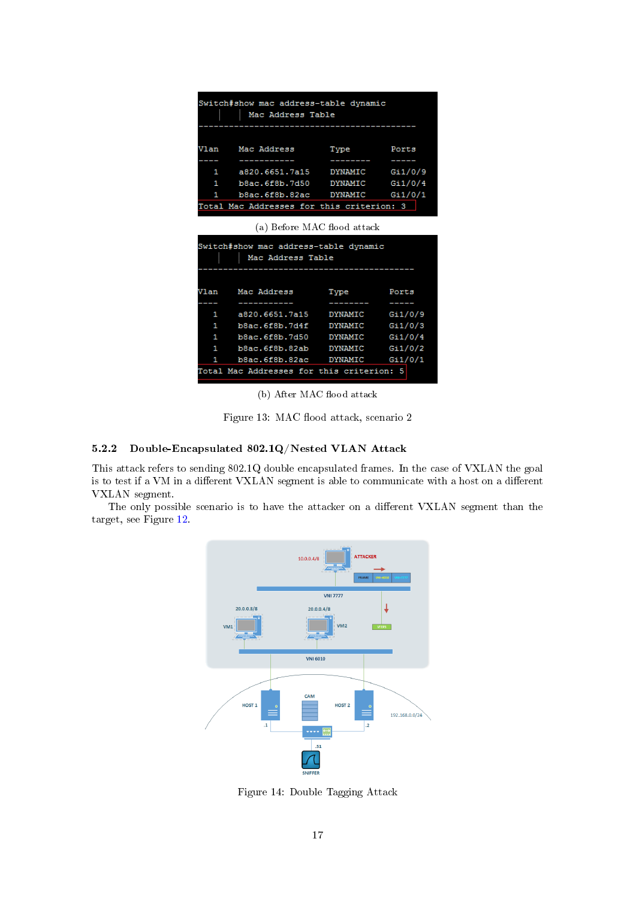<span id="page-17-1"></span>

| Switch#show mac address-table dynamic |                                           |      |       |  |  |  |  |
|---------------------------------------|-------------------------------------------|------|-------|--|--|--|--|
| Mac Address Table                     |                                           |      |       |  |  |  |  |
|                                       |                                           |      |       |  |  |  |  |
|                                       |                                           |      |       |  |  |  |  |
|                                       | Vlan – Mac Address                        | Type | Ports |  |  |  |  |
|                                       |                                           |      |       |  |  |  |  |
|                                       | 1 a820.6651.7a15 DYNAMIC Gi1/0/9          |      |       |  |  |  |  |
|                                       | 1 b8ac.6f8b.7d50 DYNAMIC Gi1/0/4          |      |       |  |  |  |  |
|                                       | 1 b8ac.6f8b.82ac DYNAMIC Gi1/0/1          |      |       |  |  |  |  |
|                                       | Total Mac Addresses for this criterion: 3 |      |       |  |  |  |  |
|                                       |                                           |      |       |  |  |  |  |
|                                       | (a) Before MAC flood attack               |      |       |  |  |  |  |
|                                       | Switch#show mac address-table dynamic     |      |       |  |  |  |  |
|                                       | Mac Address Table                         |      |       |  |  |  |  |
|                                       |                                           |      |       |  |  |  |  |
|                                       | Vlan – Mac Address                        | Type | Ports |  |  |  |  |
|                                       |                                           |      |       |  |  |  |  |
| 1                                     | a820.6651.7a15 DYNAMIC Gi1/0/9            |      |       |  |  |  |  |
| 1                                     | b8ac.6f8b.7d4f DYNAMIC Gi1/0/3            |      |       |  |  |  |  |
|                                       |                                           |      |       |  |  |  |  |
| 1                                     | b8ac.6f8b.7d50 DYNAMIC Gi1/0/4            |      |       |  |  |  |  |
| 1                                     | b8ac.6f8b.82ab DYNAMIC Gi1/0/2            |      |       |  |  |  |  |
| 1                                     | b8ac.6f8b.82ac DYNAMIC Gi1/0/1            |      |       |  |  |  |  |

(b) After MAC flood attack

Figure 13: MAC flood attack, scenario 2

#### <span id="page-17-0"></span>5.2.2 Double-Encapsulated 802.1Q/Nested VLAN Attack

This attack refers to sending 802.1Q double encapsulated frames. In the case of VXLAN the goal is to test if a VM in a different VXLAN segment is able to communicate with a host on a different VXLAN segment.

<span id="page-17-2"></span>The only possible scenario is to have the attacker on a different VXLAN segment than the target, see Figure [12.](#page-16-1)



Figure 14: Double Tagging Attack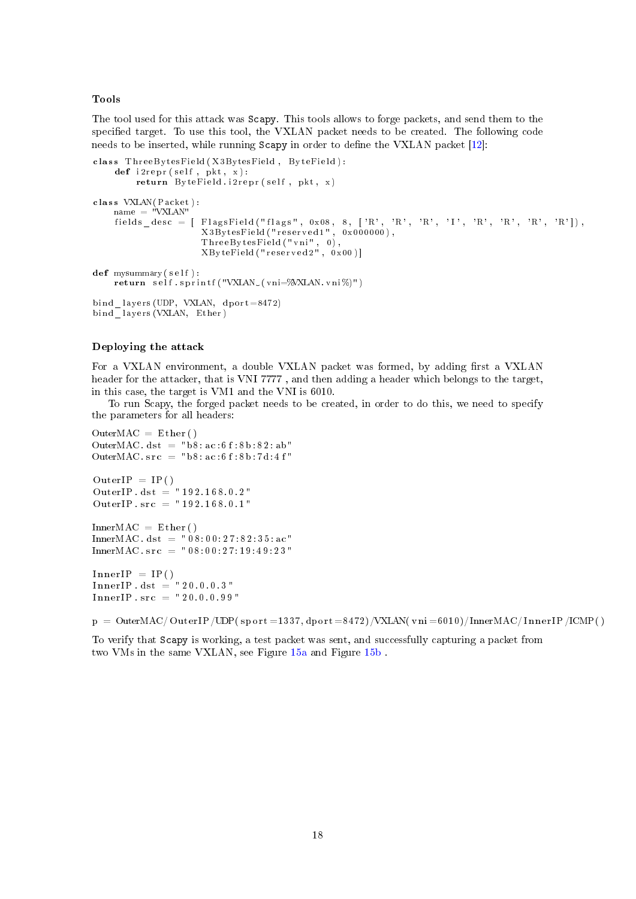#### Tools

The tool used for this attack was Scapy. This tools allows to forge packets, and send them to the specified target. To use this tool, the VXLAN packet needs to be created. The following code needs to be inserted, while running Scapy in order to define the VXLAN packet [\[12\]](#page-29-11):

```
class ThreeBytesField (X3BytesField, ByteField):
    def i 2repr(self, pkt, x):
        return ByteField.i2 repr (self, pkt, x)
class VXLAN(Packet):
    name = "VXLAN"
    fields desc = [ FlagsField("flags", 0x08, 8, ['R', 'R', 'R', 'I', 'R', 'R', 'R', 'R']),
                      X3BytesField ("reserved1", 0x000000),
                      T h r e eB y t e sFi eld ( " vni " , 0 ) ,
                      XByteField ("reserved 2", 0x00)]
def mysummary (self) :
    return self sprintf ("VXLAN (vni=%VXLAN. vni%)")
bind lavers (UDP, VXLAN, dport =8472)
bind layers (VXLAN, Ether)
```
#### Deploying the attack

For a VXLAN environment, a double VXLAN packet was formed, by adding first a VXLAN header for the attacker, that is VNI 7777 , and then adding a header which belongs to the target, in this case, the target is VM1 and the VNI is 6010.

To run Scapy, the forged packet needs to be created, in order to do this, we need to specify the parameters for all headers:

```
OuterMAC = Ether()OuterMAC \det = "b8: ac: 6 f: 8 b: 8 2: ab"
OuterMAC. src = "b8 : ac : 6 f : 8 b : 7 d : 4 f"OuterIP = IP()OuterIP. dst = "192.168.0.2"OuterIP . src = "192.168.0.1"InnerMAC = Ether()InnerMAC. dst = "08:00:27:82:35:ac"InnerMAC. src = "08:00:27:19:49:23"InnerIP = IP()
```
 $Inner IP \cdot dist = "20.0.0.3"$  $Inner IP : src = "20.0.0.99"$ 

 $p = OuterMAC/OuterIP/UDP( sport = 1337, dport = 8472)/VXLAN( vni = 6010)/InnerMAC/InnerIP/ICMP()$ 

To verify that Scapy is working, a test packet was sent, and successfully capturing a packet from two VMs in the same VXLAN, see Figure [15a](#page-19-0) and Figure [15b](#page-19-0) .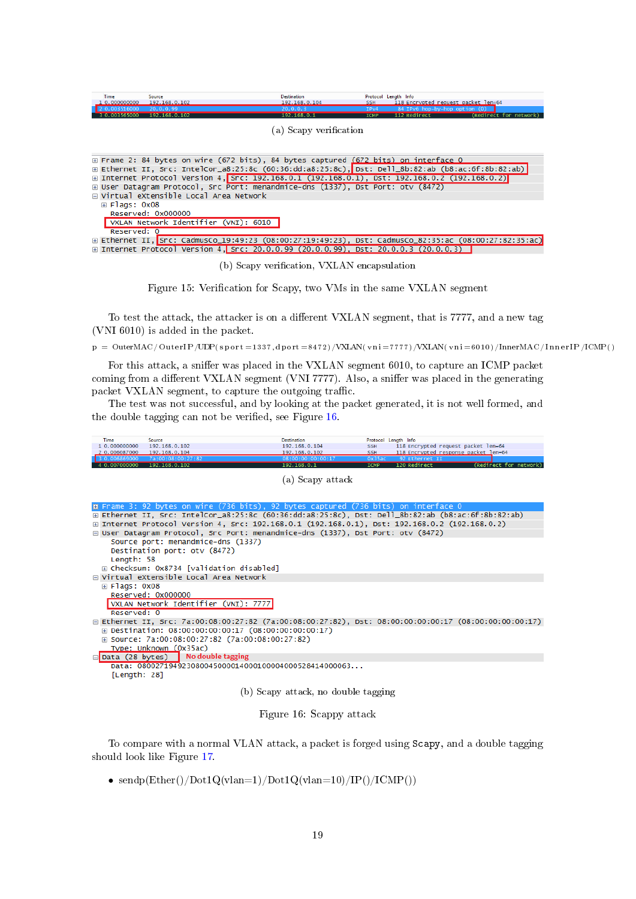<span id="page-19-0"></span>

| Time<br>1, 0.000000000<br>003565000 | Source<br>192.168.0.102<br>20.0.0.99<br>192.168.0.102                                                 | <b>Destination</b><br>192.168.0.104<br>20.0.0.3<br>192.168.0.1 | Protocol Length Info<br><b>SSH</b><br>IP <sub>V4</sub><br><b>ICMP</b> | 118 Encrypted request packet len=64<br>84 IPv6 hop-by-hop option (0)<br>(Redirect for network)<br>112 Redirect |  |
|-------------------------------------|-------------------------------------------------------------------------------------------------------|----------------------------------------------------------------|-----------------------------------------------------------------------|----------------------------------------------------------------------------------------------------------------|--|
|                                     |                                                                                                       | (a) Scapy verification                                         |                                                                       |                                                                                                                |  |
|                                     |                                                                                                       |                                                                |                                                                       |                                                                                                                |  |
|                                     | E Frame 2: 84 bytes on wire (672 bits), 84 bytes captured (672 bits) on interface 0                   |                                                                |                                                                       |                                                                                                                |  |
|                                     | E Ethernet II, Src: IntelCor_a8:25:8c (60:36:dd:a8:25:8c), Dst: Dell_8b:82:ab (b8:ac:6f:8b:82:ab)     |                                                                |                                                                       |                                                                                                                |  |
|                                     | ⊞ Internet Protocol Version 4, Src: 192.168.0.1 (192.168.0.1), Dst: 192.168.0.2 (192.168.0.2)         |                                                                |                                                                       |                                                                                                                |  |
|                                     | E User Datagram Protocol, Src Port: menandmice-dns (1337), Dst Port: otv (8472)                       |                                                                |                                                                       |                                                                                                                |  |
|                                     | □ Virtual eXtensible Local Area Network                                                               |                                                                |                                                                       |                                                                                                                |  |
| $\boxplus$ Flags: 0x08              |                                                                                                       |                                                                |                                                                       |                                                                                                                |  |
|                                     | Reserved: 0x000000                                                                                    |                                                                |                                                                       |                                                                                                                |  |
|                                     | VXLAN Network Identifier (VNI): 6010                                                                  |                                                                |                                                                       |                                                                                                                |  |
| Reserved: 0                         |                                                                                                       |                                                                |                                                                       |                                                                                                                |  |
|                                     | E Ethernet II, Src: CadmusCo_19:49:23 (08:00:27:19:49:23), Dst: CadmusCo_82:35:ac (08:00:27:82:35:ac) |                                                                |                                                                       |                                                                                                                |  |
|                                     | E Internet Protocol Version 4, Src: 20.0.0.99 (20.0.0.99), Dst: 20.0.0.3 (20.0.0.3)                   |                                                                |                                                                       |                                                                                                                |  |

(b) Scapy verification, VXLAN encapsulation

Figure 15: Verification for Scapy, two VMs in the same VXLAN segment

To test the attack, the attacker is on a different VXLAN segment, that is 7777, and a new tag (VNI 6010) is added in the packet.

 $p = 0$ uter $MAC/OuterIP/UDP$ (sport =1337, dport =8472)/VXLAN( vn i =7777)/VXLAN( vn i =6010)/InnerMAC/InnerIP/ICMP()

For this attack, a sniffer was placed in the VXLAN segment 6010, to capture an ICMP packet coming from a different VXLAN segment (VNI 7777). Also, a sniffer was placed in the generating packet VXLAN segment, to capture the outgoing traffic.

The test was not successful, and by looking at the packet generated, it is not well formed, and the double tagging can not be verified, see Figure [16.](#page-19-1)

<span id="page-19-1"></span>

| <b>Time</b>                                  | Source                                                                                                         | Destination                        | Protocol Length Info |                                                        |                        |
|----------------------------------------------|----------------------------------------------------------------------------------------------------------------|------------------------------------|----------------------|--------------------------------------------------------|------------------------|
| 1 0.000000000                                | 192.168.0.102                                                                                                  | 192.168.0.104                      | <b>SSH</b>           | 118 Encrypted request packet len=64                    |                        |
| 2 0.006087000 192.168.0.104<br>3 0.006869000 | 7a:00:08:00:27:82                                                                                              | 192.168.0.102<br>08:00:00:00:00:17 | <b>SSH</b><br>0x35ac | 118 Encrypted response packet len=64<br>92 Ethernet II |                        |
| 4 0.007000000 192.168.0.102                  |                                                                                                                | 192.168.0.1                        | <b>ICMP</b>          | 120 Redirect                                           | (Redirect for network) |
|                                              |                                                                                                                | (a) Scapy attack                   |                      |                                                        |                        |
|                                              | m Frame 3: 92 bytes on wire (736 bits), 92 bytes captured (736 bits) on interface 0                            |                                    |                      |                                                        |                        |
|                                              | E Ethernet II, Src: IntelCor_a8:25:8c (60:36:dd:a8:25:8c), Dst: Dell_8b:82:ab (b8:ac:6f:8b:82:ab)              |                                    |                      |                                                        |                        |
|                                              | ⊞ Internet Protocol Version 4, Src: 192.168.0.1 (192.168.0.1), Dst: 192.168.0.2 (192.168.0.2)                  |                                    |                      |                                                        |                        |
|                                              | □ User Datagram Protocol, Src Port: menandmice-dns (1337), Dst Port: otv (8472)                                |                                    |                      |                                                        |                        |
| Length: 58                                   | Source port: menandmice-dns (1337)<br>Destination port: otv (8472)<br>⊞ Checksum: 0x8734 [validation disabled] |                                    |                      |                                                        |                        |
|                                              |                                                                                                                |                                    |                      |                                                        |                        |
|                                              | □ Virtual eXtensible Local Area Network                                                                        |                                    |                      |                                                        |                        |
| $\text{E}$ Flags: 0x08                       |                                                                                                                |                                    |                      |                                                        |                        |
| Reserved: 0                                  | Reserved: 0x000000<br>VXLAN Network Identifier (VNI): 7777                                                     |                                    |                      |                                                        |                        |
|                                              | ⊟ Ethernet II, Src: 7a:00:08:00:27:82 (7a:00:08:00:27:82), Dst: 08:00:00:00:00:17 (08:00:00:00:00:17)          |                                    |                      |                                                        |                        |
|                                              | E Destination: 08:00:00:00:00:17 (08:00:00:00:00:17)                                                           |                                    |                      |                                                        |                        |
|                                              | ⊞ Source: 7a:00:08:00:27:82 (7a:00:08:00:27:82)                                                                |                                    |                      |                                                        |                        |
|                                              | Type: Unknown (0x35ac)                                                                                         |                                    |                      |                                                        |                        |
| □ Data (28 bytes)                            | No double tagging                                                                                              |                                    |                      |                                                        |                        |
| [Length: 28]                                 | Data: 080027194923080045000014000100004000528414000063                                                         |                                    |                      |                                                        |                        |
|                                              |                                                                                                                | b) Scapy attack, no double tagging |                      |                                                        |                        |

Figure 16: Scappy attack

To compare with a normal VLAN attack, a packet is forged using Scapy, and a double tagging should look like Figure [17.](#page-20-2)

• sendp $(Ether)/Dot1Q(vlan=1)/Dot1Q(vlan=10)/IP()/ICMP()$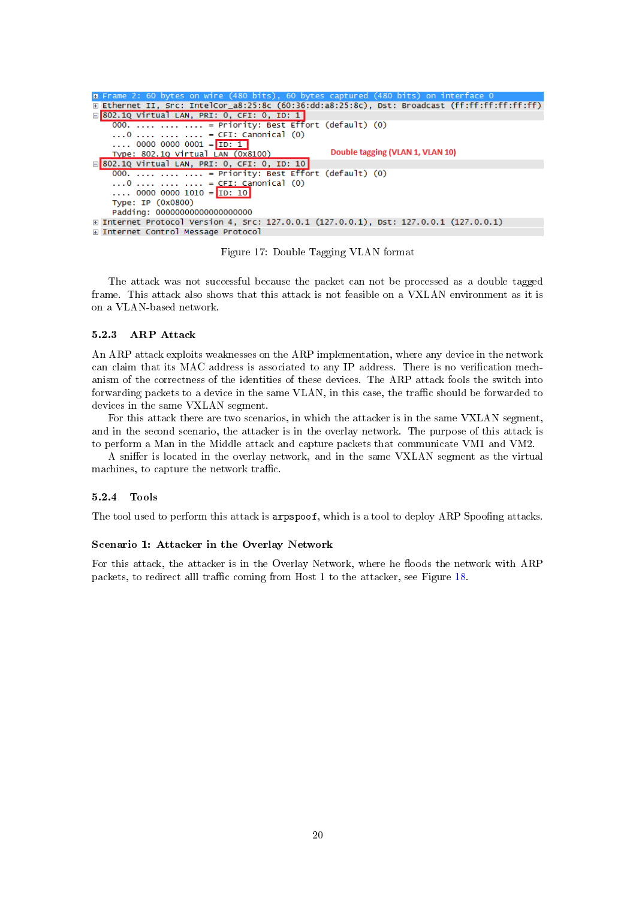<span id="page-20-2"></span>

| <b>E</b> Frame 2: 60 bytes on wire (480 bits), 60 bytes captured (480 bits) on interface 0         |
|----------------------------------------------------------------------------------------------------|
| E Ethernet II, Src: IntelCor_a8:25:8c (60:36:dd:a8:25:8c), Dst: Broadcast (ff:ff:ff:ff:ff:ff;ff;ff |
| □ 802.1Q Virtual LAN, PRI: 0, CFI: 0, ID: 1                                                        |
| 000.    = Priority: Best Effort (default) (0)                                                      |
| $\ldots$ 0 $\ldots$ $\ldots$ $\ldots$ = CFI: Canonical (0)                                         |
| $\ldots$ 0000 0000 0001 = ID: 1                                                                    |
| Double tagging (VLAN 1, VLAN 10)<br>Type: 802.10 Virtual LAN (0x8100)                              |
| ⊟ <mark>802.1Q Virtual LAN, PRI: 0, CFI: 0, ID: 10</mark>                                          |
| $000.$ = Priority: Best Effort (default) $(0)$                                                     |
| 0    = CFI: Canonical (0)                                                                          |
| 0000 0000 1010 = ID: 10                                                                            |
| Type: IP (0x0800)                                                                                  |
| Padding: 00000000000000000000                                                                      |
| ⊞ Internet Protocol Version 4, Src: 127.0.0.1 (127.0.0.1), Dst: 127.0.0.1 (127.0.0.1)              |
| ⊞ Internet Control Message Protocol                                                                |
|                                                                                                    |

Figure 17: Double Tagging VLAN format

The attack was not successful because the packet can not be processed as a double tagged frame. This attack also shows that this attack is not feasible on a VXLAN environment as it is on a VLAN-based network.

#### <span id="page-20-0"></span>5.2.3 ARP Attack

An ARP attack exploits weaknesses on the ARP implementation, where any device in the network can claim that its MAC address is associated to any IP address. There is no verification mechanism of the correctness of the identities of these devices. The ARP attack fools the switch into forwarding packets to a device in the same VLAN, in this case, the traffic should be forwarded to devices in the same VXLAN segment.

For this attack there are two scenarios, in which the attacker is in the same VXLAN segment, and in the second scenario, the attacker is in the overlay network. The purpose of this attack is to perform a Man in the Middle attack and capture packets that communicate VM1 and VM2.

A sniffer is located in the overlay network, and in the same VXLAN segment as the virtual machines, to capture the network traffic.

#### <span id="page-20-1"></span>5.2.4 Tools

The tool used to perform this attack is arpspoof, which is a tool to deploy ARP Spoofing attacks.

#### Scenario 1: Attacker in the Overlay Network

For this attack, the attacker is in the Overlay Network, where he floods the network with ARP packets, to redirect alll traffic coming from Host 1 to the attacker, see Figure  $18$ .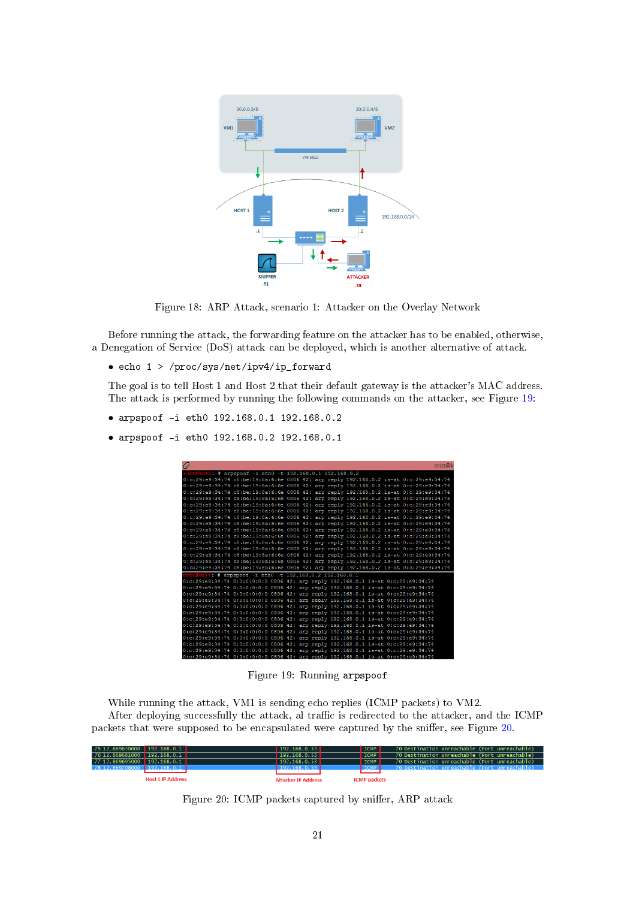<span id="page-21-0"></span>

Figure 18: ARP Attack, scenario 1: Attacker on the Overlay Network

Before running the attack, the forwarding feature on the attacker has to be enabled, otherwise, a Denegation of Service (DoS) attack can be deployed, which is another alternative of attack.

• echo 1 > /proc/sys/net/ipv4/ip\_forward

The goal is to tell Host 1 and Host 2 that their default gateway is the attacker's MAC address. The attack is performed by running the following commands on the attacker, see Figure [19:](#page-21-1)

- arpspoof -i eth0 192.168.0.1 192.168.0.2
- <span id="page-21-1"></span>• arpspoof -i eth0 192.168.0.2 192.168.0.1

| 嗯                                                                                     |  |  |  |  | root@k |
|---------------------------------------------------------------------------------------|--|--|--|--|--------|
|                                                                                       |  |  |  |  |        |
| cot@kali:-# arpspoof -i eth0 -t 192.168.0.1 192.168.0.2                               |  |  |  |  |        |
| 0:c:29:e9:34:74 c8:be:19:8a:6:6e 0806 42: arp reply 192.168.0.2 is-at 0:c:29:e9:34:74 |  |  |  |  |        |
| 0:c:29:e9:34:74 c8:be:19:8a:6:6e 0806 42: arp reply 192.168.0.2 is-at 0:c:29:e9:34:74 |  |  |  |  |        |
| 0:c:29:e9:34:74 c8:be:19:8a:6:6e 0806 42: arp reply 192.168.0.2 is-at 0:c:29:e9:34:74 |  |  |  |  |        |
| 0:c:29:e9:34:74 c8:be:19:8a:6:6e 0806 42: arp reply 192.168.0.2 is-at 0:c:29:e9:34:74 |  |  |  |  |        |
| 0:c:29:e9:34:74 c8:be:19:8a:6:6e 0806 42: arp reply 192.168.0.2 is-at 0:c:29:e9:34:74 |  |  |  |  |        |
| 0:c:29:e9:34:74 c8:be:19:8a:6:6e 0806 42: arp reply 192.168.0.2 is-at 0:c:29:e9:34:74 |  |  |  |  |        |
| 0:c:29:e9:34:74 c8:be:19:8a:6:6e 0806 42: arp reply 192.168.0.2 is-at 0:c:29:e9:34:74 |  |  |  |  |        |
| 0:c:29:e9:34:74 c8:be:19:8a:6:6e 0806 42: arp reply 192.168.0.2 is-at 0:c:29:e9:34:74 |  |  |  |  |        |
| 0:c:29:e9:34:74 c8:be:19:8a:6:6e 0806 42: arp reply 192.168.0.2 is-at 0:c:29:e9:34:74 |  |  |  |  |        |
| 0:c:29:e9:34:74 c8:be:19:8a:6:6e 0806 42: arp reply 192.168.0.2 is-at 0:c:29:e9:34:74 |  |  |  |  |        |
| 0:c:29:e9:34:74 c8:be:19:8a:6:6e 0806 42: arp reply 192.168.0.2 is-at 0:c:29:e9:34:74 |  |  |  |  |        |
| 0:c:29:e9:34:74 c8:be:19:8a:6:6e 0806 42: arp reply 192.168.0.2 is-at 0:c:29:e9:34:74 |  |  |  |  |        |
| 0:c:29:e9:34:74 c8:be:19:8a:6:6e 0806 42: arp reply 192.168.0.2 is-at 0:c:29:e9:34:74 |  |  |  |  |        |
| 0:c:29:e9:34:74 c8:be:19:8a:6:6e 0806 42: arp reply 192.168.0.2 is-at 0:c:29:e9:34:74 |  |  |  |  |        |
| 0:c:29:e9:34:74 c8:be:19:8a:6:6e 0806 42: arp reply 192.168.0.2 is-at 0:c:29:e9:34:74 |  |  |  |  |        |
| root@kali:-# arpspoof -i eth0 -t 192.168.0.2 192.168.0.1                              |  |  |  |  |        |
| 0:c:29:e9:34:74 0:0:0:0:0:0 0806 42: arp reply 192.168.0.1 is-at 0:c:29:e9:34:74      |  |  |  |  |        |
| 0:c:29:e9:34:74 0:0:0:0:0:0 0806 42: arp reply 192.168.0.1 is-at 0:c:29:e9:34:74      |  |  |  |  |        |
| 0:c:29:e9:34:74 0:0:0:0:0:0 0806 42: arp reply 192.168.0.1 is-at 0:c:29:e9:34:74      |  |  |  |  |        |
| 0:c:29:e9:34:74 0:0:0:0:0:0 0806 42: arp reply 192.168.0.1 is-at 0:c:29:e9:34:74      |  |  |  |  |        |
| 0:c:29:e9:34:74 0:0:0:0:0:0 0806 42: arp reply 192.168.0.1 is-at 0:c:29:e9:34:74      |  |  |  |  |        |
| 0:c:29:e9:34:74 0:0:0:0:0:0 0806 42: arp reply 192.168.0.1 is-at 0:c:29:e9:34:74      |  |  |  |  |        |
| 0:c:29:e9:34:74 0:0:0:0:0:0 0806 42: arp reply 192.168.0.1 is-at 0:c:29:e9:34:74      |  |  |  |  |        |
| 0:c:29:e9:34:74 0:0:0:0:0:0 0806 42: arp reply 192.168.0.1 is-at 0:c:29:e9:34:74      |  |  |  |  |        |
| 0:c:29:e9:34:74 0:0:0:0:0:0 0806 42: arp reply 192.168.0.1 is-at 0:c:29:e9:34:74      |  |  |  |  |        |
| 0:c:29:e9:34:74 0:0:0:0:0:0 0806 42: arp reply 192.168.0.1 is-at 0:c:29:e9:34:74      |  |  |  |  |        |
| 0:c:29:e9:34:74 0:0:0:0:0:0 0806 42: arp reply 192.168.0.1 is-at 0:c:29:e9:34:74      |  |  |  |  |        |
| 0:c:29:e9:34:74 0:0:0:0:0:0 0806 42: arp reply 192.168.0.1 is-at 0:c:29:e9:34:74      |  |  |  |  |        |
| 0:c:29:e9:34:74 0:0:0:0:0:0 0806 42: arp reply 192.168.0.1 is-at 0:c:29:e9:34:74      |  |  |  |  |        |

Figure 19: Running arpspoof

While running the attack, VM1 is sending echo replies (ICMP packets) to VM2. After deploying successfully the attack, al traffic is redirected to the attacker, and the ICMP packets that were supposed to be encapsulated were captured by the sniffer, see Figure [20.](#page-21-2)

<span id="page-21-2"></span>

| 75 12.869630000 192.168.0.1    | 192.168.0.53               | <b>ICMP</b>         | 70 Destination unreachable (Port unreachable)    |
|--------------------------------|----------------------------|---------------------|--------------------------------------------------|
| 76 12.869681000 192.168.0.1    | 192.168.0.53               | <b>ICMP</b>         | 70 Destination unreachable (Port unreachable)    |
| 77 12.869695000 192.168.0.1    | 192.168.0.53               | <b>ICMP</b>         | 70 Destination unreachable (Port unreachable)    |
| 78 12, 869708000 192, 168, 0.1 | 192.168.0.53               | <b>ICMP</b>         | .70 Destination unreachable (Port unreachable) ' |
|                                |                            |                     |                                                  |
| <b>Host 1 IP Address</b>       | <b>Attacker IP Address</b> | <b>ICMP</b> packets |                                                  |

Figure 20: ICMP packets captured by sniffer, ARP attack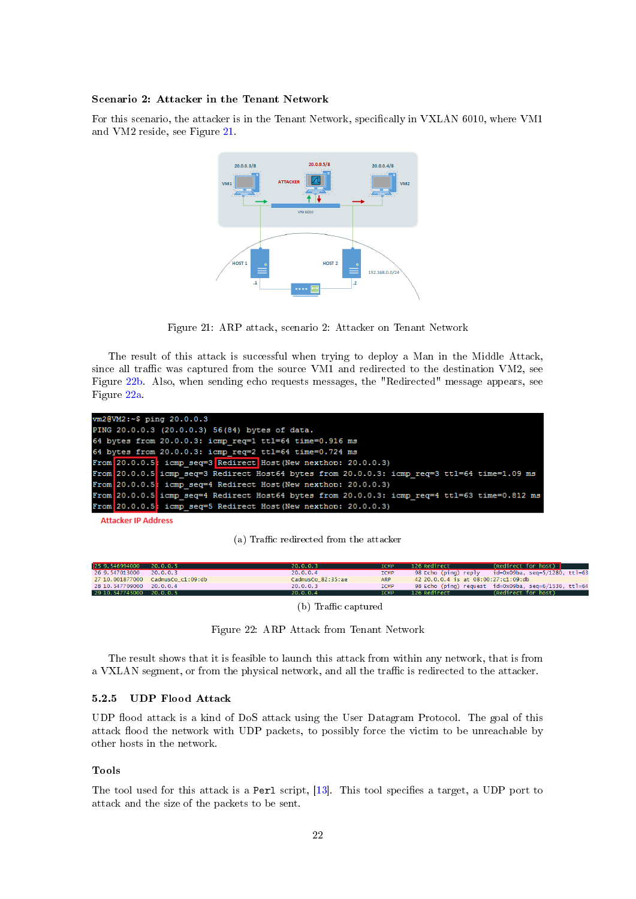## Scenario 2: Attacker in the Tenant Network

<span id="page-22-1"></span>For this scenario, the attacker is in the Tenant Network, specifically in VXLAN 6010, where VM1 and VM2 reside, see Figure [21.](#page-22-1)



Figure 21: ARP attack, scenario 2: Attacker on Tenant Network

The result of this attack is successful when trying to deploy a Man in the Middle Attack, since all traffic was captured from the source VM1 and redirected to the destination VM2, see Figure [22b.](#page-22-2) Also, when sending echo requests messages, the "Redirected" message appears, see Figure [22a.](#page-22-2)

<span id="page-22-2"></span>

| vm2@VM2:~\$ ping 20.0.0.3                                                                     |
|-----------------------------------------------------------------------------------------------|
| PING 20.0.0.3 (20.0.0.3) 56(84) bytes of data.                                                |
| 64 bytes from 20.0.0.3: icmp req=1 ttl=64 time=0.916 ms                                       |
| 64 bytes from 20.0.0.3: icmp reg=2 ttl=64 time=0.724 ms                                       |
| From 20.0.0.5: icmp seq=3 Redirect Host (New nexthon: 20.0.0.3)                               |
| From 20.0.0.5 icmp seq=3 Redirect Host64 bytes from 20.0.0.3: icmp req=3 ttl=64 time=1.09 ms  |
| From 20.0.0.5: icmp seq=4 Redirect Host (New nexthop: 20.0.0.3)                               |
| From 20.0.0.5 icmp seq=4 Redirect Host64 bytes from 20.0.0.3: icmp req=4 ttl=63 time=0.812 ms |
| From 20.0.0.5; icmp seq=5 Redirect Host (New nexthop: 20.0.0.3)                               |
|                                                                                               |

**Attacker IP Address** 

(a) Traffic redirected from the attacker

| 25 9.546994000               | 20.0.0.5          | 20.0.0.3          | <b>ICMP</b> | 126 Redirect                        | (Redirect for host)                                  |
|------------------------------|-------------------|-------------------|-------------|-------------------------------------|------------------------------------------------------|
| 26 9.547013000               | 20.0.0.3          | 20.0.0.4          | <b>ICMP</b> | 98 Echo (ping) reply                | id=0x09ba, seq=5/1280, ttl=63                        |
| 27 10.001877000              | CadmusCo_c1:09:db | CadmusCo_82:35:ae | <b>ARP</b>  | 42 20.0.0.4 is at 08:00:27:c1:09:db |                                                      |
| 28 10, 547709000             | 20.0.0.4          | 20.0.0.3          | <b>ICMP</b> |                                     | 98 Echo (ping) request id=0x09ba, seq=6/1536, ttl=64 |
| 29 10, 547745000 20, 0, 0, 5 |                   | 20.0.0.4          | <b>ICMP</b> | 126 Redirect                        | (Redirect for host)                                  |
|                              |                   | $(1)$ m $\omega$  |             |                                     |                                                      |

 $(b)$  Traffic captured

Figure 22: ARP Attack from Tenant Network

The result shows that it is feasible to launch this attack from within any network, that is from a VXLAN segment, or from the physical network, and all the traffic is redirected to the attacker.

#### <span id="page-22-0"></span>5.2.5 UDP Flood Attack

UDP flood attack is a kind of DoS attack using the User Datagram Protocol. The goal of this attack flood the network with UDP packets, to possibly force the victim to be unreachable by other hosts in the network.

#### Tools

The tool used for this attack is a Perl script, [\[13\]](#page-29-12). This tool specifies a target, a UDP port to attack and the size of the packets to be sent.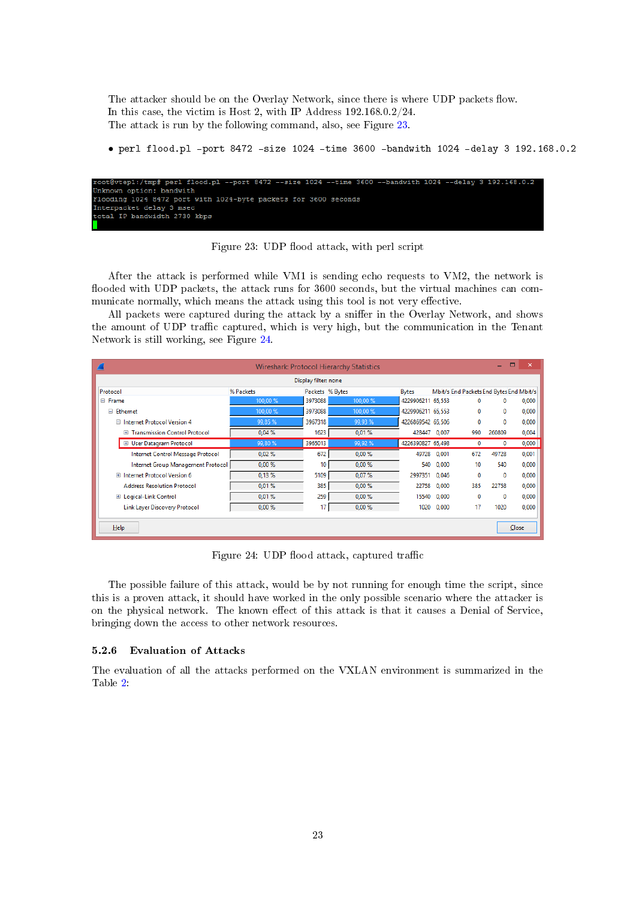The attacker should be on the Overlay Network, since there is where UDP packets flow. In this case, the victim is Host 2, with IP Address 192.168.0.2/24. The attack is run by the following command, also, see Figure [23.](#page-23-1)

• perl flood.pl -port 8472 -size 1024 -time 3600 -bandwith 1024 -delay 3 192.168.0.2

<span id="page-23-1"></span>

Figure 23: UDP flood attack, with perl script

After the attack is performed while VM1 is sending echo requests to VM2, the network is flooded with UDP packets, the attack runs for 3600 seconds, but the virtual machines can communicate normally, which means the attack using this tool is not very effective.

All packets were captured during the attack by a sniffer in the Overlay Network, and shows the amount of UDP traffic captured, which is very high, but the communication in the Tenant Network is still working, see Figure [24.](#page-23-2)

<span id="page-23-2"></span>

|                                           |           |                 | <b>Wireshark: Protocol Hierarchy Statistics</b> |                   |       |                                         | $\Box$<br>-  | $\boldsymbol{\mathsf{x}}$ |
|-------------------------------------------|-----------|-----------------|-------------------------------------------------|-------------------|-------|-----------------------------------------|--------------|---------------------------|
| Display filter: none                      |           |                 |                                                 |                   |       |                                         |              |                           |
| Protocol                                  | % Packets | Packets % Bytes |                                                 | <b>Bytes</b>      |       | Mbit/s End Packets End Bytes End Mbit/s |              |                           |
| $\Box$ Frame                              | 100,00 %  | 3973088         | 100,00 %                                        | 4229906211 65,553 |       | 0                                       | $\Omega$     | 0,000                     |
| □ Ethernet                                | 100,00 %  | 3973088         | 100,00 %                                        | 4229906211 65,553 |       | 0                                       | $\mathbf{0}$ | 0,000                     |
| $\Box$ Internet Protocol Version 4        | 99,85 %   | 3967318         | 99,93 %                                         | 4226869542 65.506 |       | 0                                       | 0            | 0.000                     |
| <b>Transmission Control Protocol</b><br>Ŧ | 0.04%     | 1623            | 0.01%                                           | 428447            | 0.007 | 990                                     | 260809       | 0,004                     |
| <b>El User Datagram Protocol</b>          | 99,80 %   | 3965013         | 99,92 %                                         | 4226390827 65.498 |       | 0                                       | $\mathbf{0}$ | 0,000                     |
| Internet Control Message Protocol         | 0.02%     | 672             | 0.00%                                           | 49728             | 0,001 | 672                                     | 49728        | 0,001                     |
| Internet Group Management Protocol        | $0.00 \%$ | 10              | 0.00%                                           | 540               | 0.000 | 10                                      | 540          | 0,000                     |
| Internet Protocol Version 6<br>$+$        | 0.13%     | 5109            | 0.07%                                           | 2997351           | 0,046 | 0                                       | 0            | 0,000                     |
| <b>Address Resolution Protocol</b>        | 0.01%     | 385             | 0,00%                                           | 22758             | 0.000 | 385                                     | 22758        | 0.000                     |
| <b>E</b> Logical-Link Control             | 0.01%     | 259             | 0.00%                                           | 15540             | 0,000 | $\Omega$                                | $\Omega$     | 0,000                     |
| <b>Link Layer Discovery Protocol</b>      | 0.00%     | 17              | 0,00%                                           | 1020              | 0,000 | 17                                      | 1020         | 0,000                     |
|                                           |           |                 |                                                 |                   |       |                                         |              |                           |
| $He$ lp                                   |           |                 |                                                 |                   |       |                                         |              | Close                     |

Figure 24: UDP flood attack, captured traffic

The possible failure of this attack, would be by not running for enough time the script, since this is a proven attack, it should have worked in the only possible scenario where the attacker is on the physical network. The known effect of this attack is that it causes a Denial of Service, bringing down the access to other network resources.

#### <span id="page-23-0"></span>5.2.6 Evaluation of Attacks

The evaluation of all the attacks performed on the VXLAN environment is summarized in the Table [2:](#page-24-2)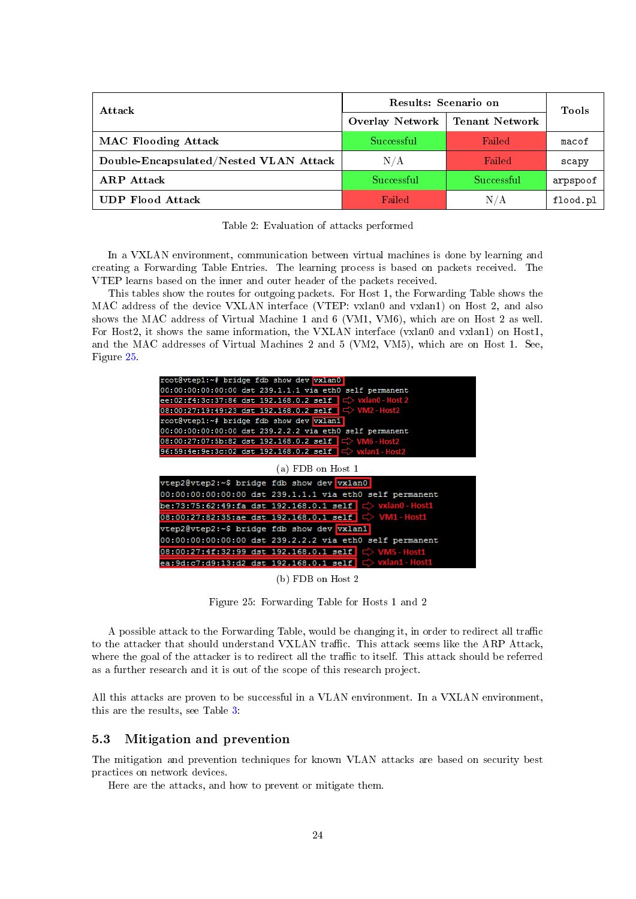<span id="page-24-2"></span>

| Attack                                 | Results: Scenario on | <b>Tools</b>          |          |  |
|----------------------------------------|----------------------|-----------------------|----------|--|
|                                        | Overlay Network      | <b>Tenant Network</b> |          |  |
| <b>MAC Flooding Attack</b>             | Successful           | Failed                | macof    |  |
| Double-Encapsulated/Nested VLAN Attack | N/A                  | Failed                | scapy    |  |
| <b>ARP</b> Attack                      | Successful           | Successful            | arpspoof |  |
| <b>UDP Flood Attack</b>                | Failed               | N/A                   | flood.pl |  |

Table 2: Evaluation of attacks performed

In a VXLAN environment, communication between virtual machines is done by learning and creating a Forwarding Table Entries. The learning process is based on packets received. The VTEP learns based on the inner and outer header of the packets received.

This tables show the routes for outgoing packets. For Host 1, the Forwarding Table shows the MAC address of the device VXLAN interface (VTEP: vxlan0 and vxlan1) on Host 2, and also shows the MAC address of Virtual Machine 1 and 6 (VM1, VM6), which are on Host 2 as well. For Host2, it shows the same information, the VXLAN interface (vxlan0 and vxlan1) on Host1, and the MAC addresses of Virtual Machines 2 and 5 (VM2, VM5), which are on Host 1. See, Figure [25.](#page-24-1)

<span id="page-24-1"></span>

(b) FDB on Host 2

Figure 25: Forwarding Table for Hosts 1 and 2

A possible attack to the Forwarding Table, would be changing it, in order to redirect all traffic to the attacker that should understand VXLAN traffic. This attack seems like the ARP Attack, where the goal of the attacker is to redirect all the traffic to itself. This attack should be referred as a further research and it is out of the scope of this research project.

All this attacks are proven to be successful in a VLAN environment. In a VXLAN environment, this are the results, see Table [3:](#page-25-4)

#### <span id="page-24-0"></span>5.3 Mitigation and prevention

The mitigation and prevention techniques for known VLAN attacks are based on security best practices on network devices.

Here are the attacks, and how to prevent or mitigate them.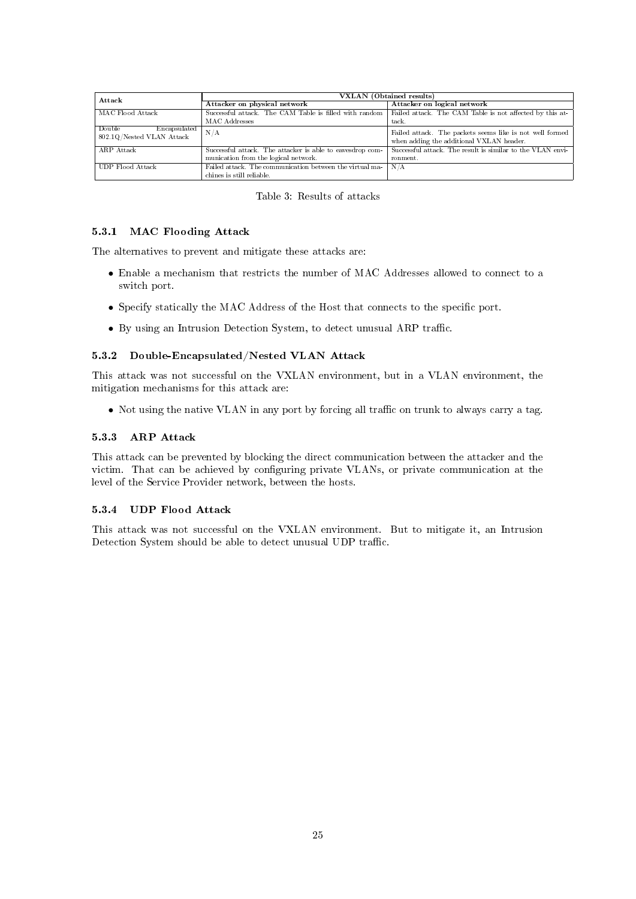<span id="page-25-4"></span>

| Attack                                              | <b>VXLAN</b> (Obtained results)                                                       |                                                                                                      |  |  |
|-----------------------------------------------------|---------------------------------------------------------------------------------------|------------------------------------------------------------------------------------------------------|--|--|
|                                                     | Attacker on physical network                                                          | Attacker on logical network                                                                          |  |  |
| MAC Flood Attack                                    | Successful attack. The CAM Table is filled with random                                | Failed attack. The CAM Table is not affected by this at-                                             |  |  |
|                                                     | MAC Addresses                                                                         | tack.                                                                                                |  |  |
| Double<br>Encapsulated<br>802.1Q/Nested VLAN Attack | N/A                                                                                   | Failed attack. The packets seems like is not well formed<br>when adding the additional VXLAN header. |  |  |
| ARP Attack                                          | Successful attack. The attacker is able to eavesdrop com-                             | Successful attack. The result is similar to the VLAN envi-                                           |  |  |
|                                                     | munication from the logical network.                                                  | ronment.                                                                                             |  |  |
| UDP Flood Attack                                    | Failed attack. The communication between the virtual ma-<br>chines is still reliable. | N/A                                                                                                  |  |  |

| Table 3: Results of attacks |  |
|-----------------------------|--|
|-----------------------------|--|

#### <span id="page-25-0"></span>5.3.1 MAC Flooding Attack

The alternatives to prevent and mitigate these attacks are:

- Enable a mechanism that restricts the number of MAC Addresses allowed to connect to a switch port.
- Specify statically the MAC Address of the Host that connects to the specific port.
- $\bullet$  By using an Intrusion Detection System, to detect unusual ARP traffic.

#### <span id="page-25-1"></span>5.3.2 Double-Encapsulated/Nested VLAN Attack

This attack was not successful on the VXLAN environment, but in a VLAN environment, the mitigation mechanisms for this attack are:

• Not using the native VLAN in any port by forcing all traffic on trunk to always carry a tag.

#### <span id="page-25-2"></span>5.3.3 ARP Attack

This attack can be prevented by blocking the direct communication between the attacker and the victim. That can be achieved by configuring private VLANs, or private communication at the level of the Service Provider network, between the hosts.

## <span id="page-25-3"></span>5.3.4 UDP Flood Attack

This attack was not successful on the VXLAN environment. But to mitigate it, an Intrusion Detection System should be able to detect unusual UDP traffic.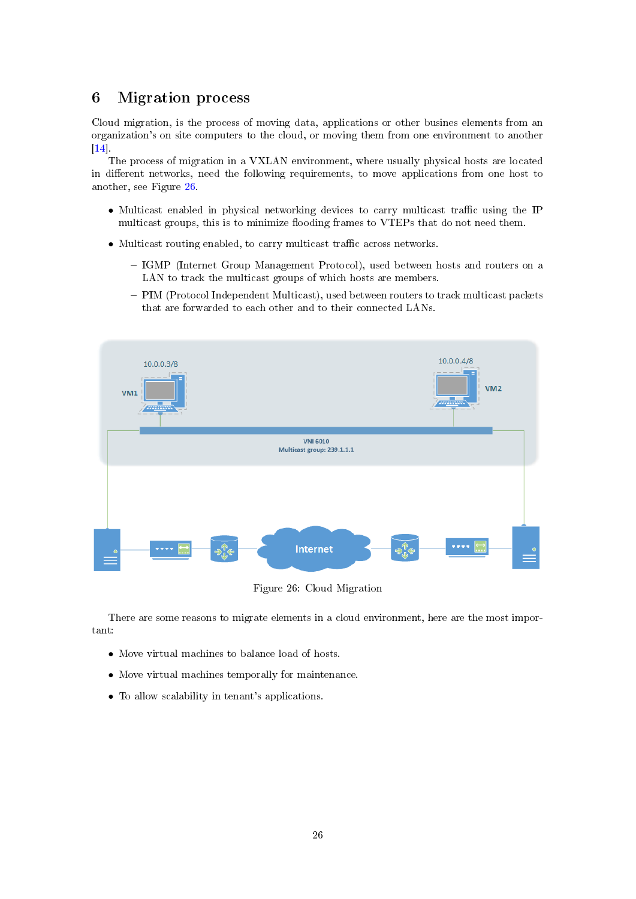## <span id="page-26-0"></span>6 Migration process

Cloud migration, is the process of moving data, applications or other busines elements from an organization's on site computers to the cloud, or moving them from one environment to another  $\boxed{14}$ 

The process of migration in a VXLAN environment, where usually physical hosts are located in different networks, need the following requirements, to move applications from one host to another, see Figure [26.](#page-26-1)

- Multicast enabled in physical networking devices to carry multicast traffic using the IP multicast groups, this is to minimize flooding frames to VTEPs that do not need them.
- $\bullet$  Multicast routing enabled, to carry multicast traffic across networks.
	- IGMP (Internet Group Management Protocol), used between hosts and routers on a LAN to track the multicast groups of which hosts are members.
	- PIM (Protocol Independent Multicast), used between routers to track multicast packets that are forwarded to each other and to their connected LANs.

<span id="page-26-1"></span>

Figure 26: Cloud Migration

There are some reasons to migrate elements in a cloud environment, here are the most important:

- Move virtual machines to balance load of hosts.
- Move virtual machines temporally for maintenance.
- To allow scalability in tenant's applications.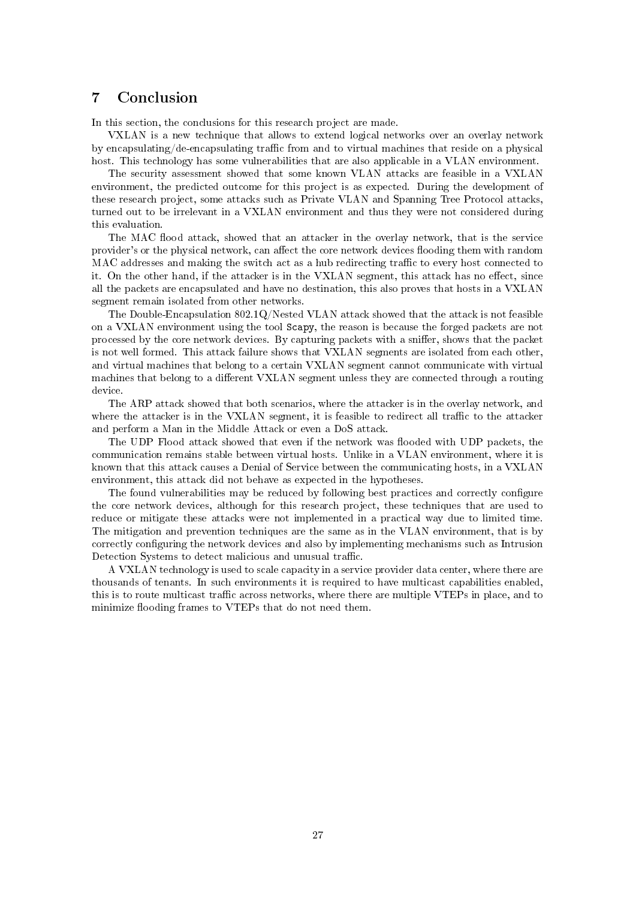## <span id="page-27-0"></span>7 Conclusion

In this section, the conclusions for this research project are made.

VXLAN is a new technique that allows to extend logical networks over an overlay network by encapsulating/de-encapsulating traffic from and to virtual machines that reside on a physical host. This technology has some vulnerabilities that are also applicable in a VLAN environment.

The security assessment showed that some known VLAN attacks are feasible in a VXLAN environment, the predicted outcome for this project is as expected. During the development of these research project, some attacks such as Private VLAN and Spanning Tree Protocol attacks, turned out to be irrelevant in a VXLAN environment and thus they were not considered during this evaluation.

The MAC flood attack, showed that an attacker in the overlay network, that is the service provider's or the physical network, can affect the core network devices flooding them with random MAC addresses and making the switch act as a hub redirecting traffic to every host connected to it. On the other hand, if the attacker is in the VXLAN segment, this attack has no effect, since all the packets are encapsulated and have no destination, this also proves that hosts in a VXLAN segment remain isolated from other networks.

The Double-Encapsulation 802.1Q/Nested VLAN attack showed that the attack is not feasible on a VXLAN environment using the tool Scapy, the reason is because the forged packets are not processed by the core network devices. By capturing packets with a sniffer, shows that the packet is not well formed. This attack failure shows that VXLAN segments are isolated from each other, and virtual machines that belong to a certain VXLAN segment cannot communicate with virtual machines that belong to a different VXLAN segment unless they are connected through a routing device.

The ARP attack showed that both scenarios, where the attacker is in the overlay network, and where the attacker is in the VXLAN segment, it is feasible to redirect all traffic to the attacker and perform a Man in the Middle Attack or even a DoS attack.

The UDP Flood attack showed that even if the network was flooded with UDP packets, the communication remains stable between virtual hosts. Unlike in a VLAN environment, where it is known that this attack causes a Denial of Service between the communicating hosts, in a VXLAN environment, this attack did not behave as expected in the hypotheses.

The found vulnerabilities may be reduced by following best practices and correctly configure the core network devices, although for this research project, these techniques that are used to reduce or mitigate these attacks were not implemented in a practical way due to limited time. The mitigation and prevention techniques are the same as in the VLAN environment, that is by correctly configuring the network devices and also by implementing mechanisms such as Intrusion Detection Systems to detect malicious and unusual traffic.

A VXLAN technology is used to scale capacity in a service provider data center, where there are thousands of tenants. In such environments it is required to have multicast capabilities enabled, this is to route multicast traffic across networks, where there are multiple VTEPs in place, and to minimize flooding frames to VTEPs that do not need them.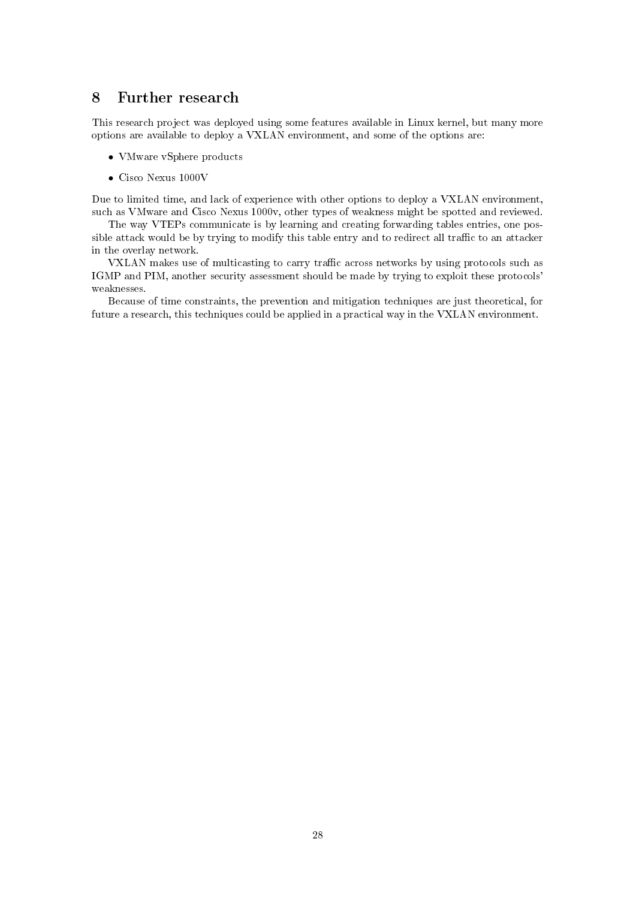## <span id="page-28-0"></span>8 Further research

This research project was deployed using some features available in Linux kernel, but many more options are available to deploy a VXLAN environment, and some of the options are:

- VMware vSphere products
- Cisco Nexus 1000V

Due to limited time, and lack of experience with other options to deploy a VXLAN environment, such as VMware and Cisco Nexus 1000v, other types of weakness might be spotted and reviewed.

The way VTEPs communicate is by learning and creating forwarding tables entries, one possible attack would be by trying to modify this table entry and to redirect all traffic to an attacker in the overlay network.

VXLAN makes use of multicasting to carry traffic across networks by using protocols such as IGMP and PIM, another security assessment should be made by trying to exploit these protocols' weaknesses.

Because of time constraints, the prevention and mitigation techniques are just theoretical, for future a research, this techniques could be applied in a practical way in the VXLAN environment.